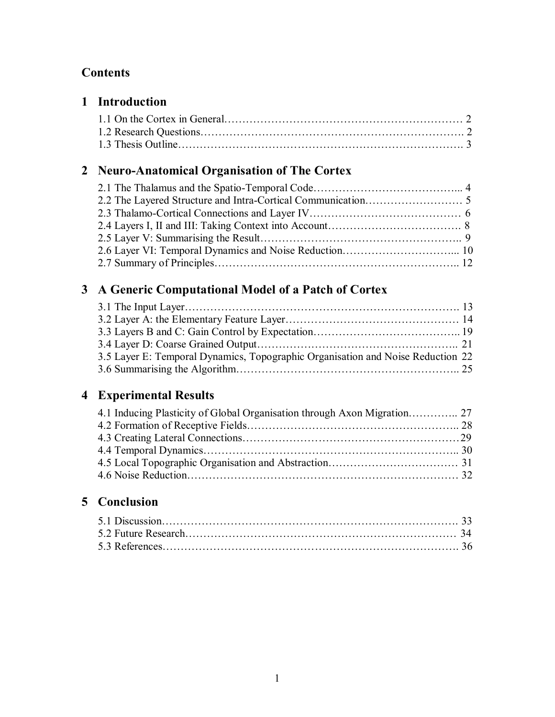# **Contents**

# **1 Introduction**

# **2 Neuro-Anatomical Organisation of The Cortex**

# **3 A Generic Computational Model of a Patch of Cortex**

| 3.5 Layer E: Temporal Dynamics, Topographic Organisation and Noise Reduction 22 |
|---------------------------------------------------------------------------------|
|                                                                                 |
|                                                                                 |

# **4 Experimental Results**

# **5 Conclusion**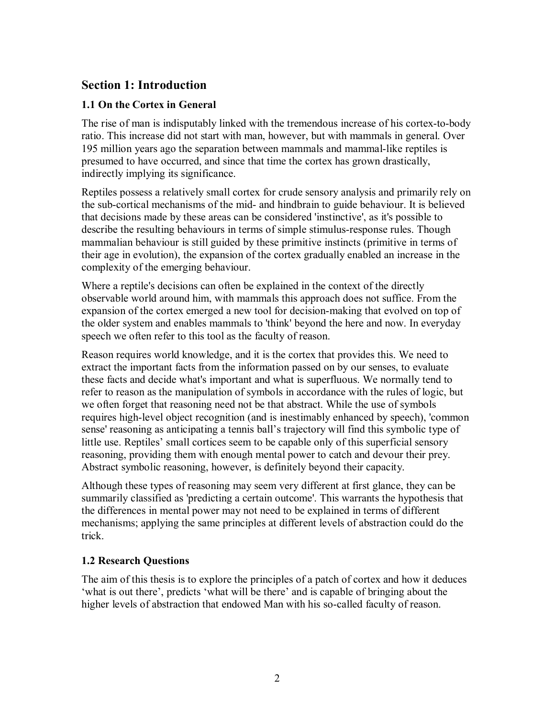## **Section 1: Introduction**

### **1.1 On the Cortex in General**

The rise of man is indisputably linked with the tremendous increase of his cortex-to-body ratio. This increase did not start with man, however, but with mammals in general. Over 195 million years ago the separation between mammals and mammal-like reptiles is presumed to have occurred, and since that time the cortex has grown drastically, indirectly implying its significance.

Reptiles possess a relatively small cortex for crude sensory analysis and primarily rely on the sub-cortical mechanisms of the mid- and hindbrain to guide behaviour. It is believed that decisions made by these areas can be considered 'instinctive', as it's possible to describe the resulting behaviours in terms of simple stimulus-response rules. Though mammalian behaviour is still guided by these primitive instincts (primitive in terms of their age in evolution), the expansion of the cortex gradually enabled an increase in the complexity of the emerging behaviour.

Where a reptile's decisions can often be explained in the context of the directly observable world around him, with mammals this approach does not suffice. From the expansion of the cortex emerged a new tool for decision-making that evolved on top of the older system and enables mammals to 'think' beyond the here and now. In everyday speech we often refer to this tool as the faculty of reason.

Reason requires world knowledge, and it is the cortex that provides this. We need to extract the important facts from the information passed on by our senses, to evaluate these facts and decide what's important and what is superfluous. We normally tend to refer to reason as the manipulation of symbols in accordance with the rules of logic, but we often forget that reasoning need not be that abstract. While the use of symbols requires high-level object recognition (and is inestimably enhanced by speech), 'common sense' reasoning as anticipating a tennis ball's trajectory will find this symbolic type of little use. Reptiles' small cortices seem to be capable only of this superficial sensory reasoning, providing them with enough mental power to catch and devour their prey. Abstract symbolic reasoning, however, is definitely beyond their capacity.

Although these types of reasoning may seem very different at first glance, they can be summarily classified as 'predicting a certain outcome'. This warrants the hypothesis that the differences in mental power may not need to be explained in terms of different mechanisms; applying the same principles at different levels of abstraction could do the trick.

#### **1.2 Research Questions**

The aim of this thesis is to explore the principles of a patch of cortex and how it deduces 'what is out there', predicts 'what will be there' and is capable of bringing about the higher levels of abstraction that endowed Man with his so-called faculty of reason.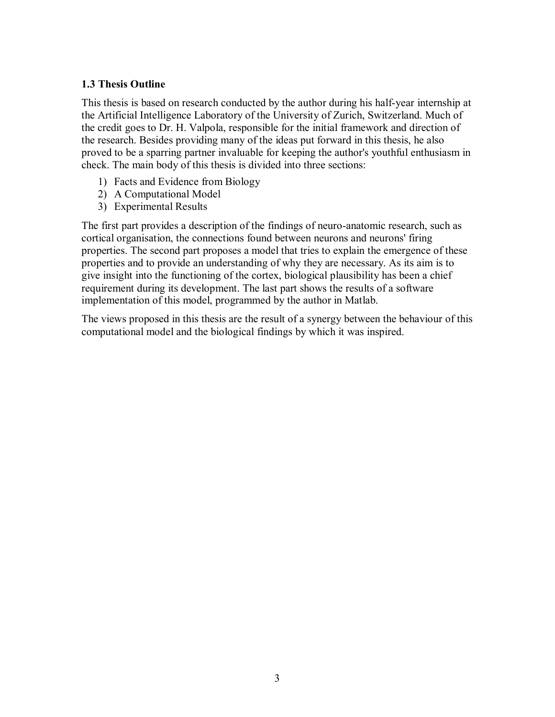#### **1.3 Thesis Outline**

This thesis is based on research conducted by the author during his half-year internship at the Artificial Intelligence Laboratory of the University of Zurich, Switzerland. Much of the credit goes to Dr. H. Valpola, responsible for the initial framework and direction of the research. Besides providing many of the ideas put forward in this thesis, he also proved to be a sparring partner invaluable for keeping the author's youthful enthusiasm in check. The main body of this thesis is divided into three sections:

- 1) Facts and Evidence from Biology
- 2) A Computational Model
- 3) Experimental Results

The first part provides a description of the findings of neuro-anatomic research, such as cortical organisation, the connections found between neurons and neurons' firing properties. The second part proposes a model that tries to explain the emergence of these properties and to provide an understanding of why they are necessary. As its aim is to give insight into the functioning of the cortex, biological plausibility has been a chief requirement during its development. The last part shows the results of a software implementation of this model, programmed by the author in Matlab.

The views proposed in this thesis are the result of a synergy between the behaviour of this computational model and the biological findings by which it was inspired.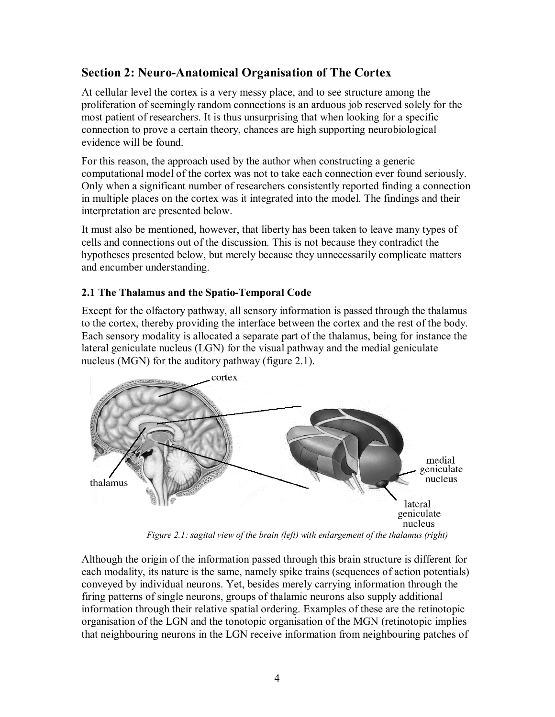# **Section 2: Neuro-Anatomical Organisation of The Cortex**

At cellular level the cortex is a very messy place, and to see structure among the proliferation of seemingly random connections is an arduous job reserved solely for the most patient of researchers. It is thus unsurprising that when looking for a specific connection to prove a certain theory, chances are high supporting neurobiological evidence will be found.

For this reason, the approach used by the author when constructing a generic computational model of the cortex was not to take each connection ever found seriously. Only when a significant number of researchers consistently reported finding a connection in multiple places on the cortex was it integrated into the model. The findings and their interpretation are presented below.

It must also be mentioned, however, that liberty has been taken to leave many types of cells and connections out of the discussion. This is not because they contradict the hypotheses presented below, but merely because they unnecessarily complicate matters and encumber understanding.

### **2.1 The Thalamus and the Spatio-Temporal Code**

Except for the olfactory pathway, all sensory information is passed through the thalamus to the cortex, thereby providing the interface between the cortex and the rest of the body. Each sensory modality is allocated a separate part of the thalamus, being for instance the lateral geniculate nucleus (LGN) for the visual pathway and the medial geniculate nucleus (MGN) for the auditory pathway (figure 2.1).



Although the origin of the information passed through this brain structure is different for each modality, its nature is the same, namely spike trains (sequences of action potentials) conveyed by individual neurons. Yet, besides merely carrying information through the firing patterns of single neurons, groups of thalamic neurons also supply additional information through their relative spatial ordering. Examples of these are the retinotopic organisation of the LGN and the tonotopic organisation of the MGN (retinotopic implies that neighbouring neurons in the LGN receive information from neighbouring patches of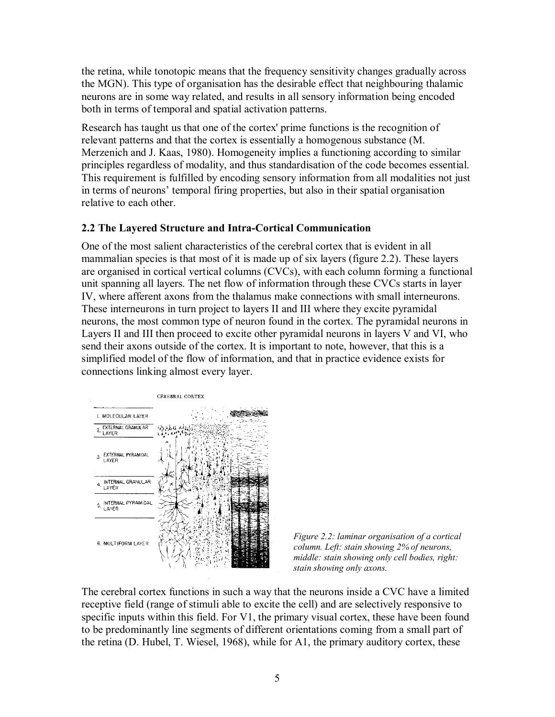the retina, while tonotopic means that the frequency sensitivity changes gradually across the MGN). This type of organisation has the desirable effect that neighbouring thalamic neurons are in some way related, and results in all sensory information being encoded both in terms of temporal and spatial activation patterns.

Research has taught us that one of the cortex' prime functions is the recognition of relevant patterns and that the cortex is essentially a homogenous substance (M. Merzenich and J. Kaas, 1980). Homogeneity implies a functioning according to similar principles regardless of modality, and thus standardisation of the code becomes essential. This requirement is fulfilled by encoding sensory information from all modalities not just in terms of neurons' temporal firing properties, but also in their spatial organisation relative to each other.

#### **2.2 The Layered Structure and Intra-Cortical Communication**

One of the most salient characteristics of the cerebral cortex that is evident in all mammalian species is that most of it is made up of six layers (figure 2.2). These layers are organised in cortical vertical columns (CVCs), with each column forming a functional unit spanning all layers. The net flow of information through these CVCs starts in layer IV, where afferent axons from the thalamus make connections with small interneurons. These interneurons in turn project to layers II and III where they excite pyramidal neurons, the most common type of neuron found in the cortex. The pyramidal neurons in Layers II and III then proceed to excite other pyramidal neurons in layers V and VI, who send their axons outside of the cortex. It is important to note, however, that this is a simplified model of the flow of information, and that in practice evidence exists for connections linking almost every layer.





The cerebral cortex functions in such a way that the neurons inside a CVC have a limited receptive field (range of stimuli able to excite the cell) and are selectively responsive to specific inputs within this field. For V1, the primary visual cortex, these have been found to be predominantly line segments of different orientations coming from a small part of the retina (D. Hubel, T. Wiesel, 1968), while for A1, the primary auditory cortex, these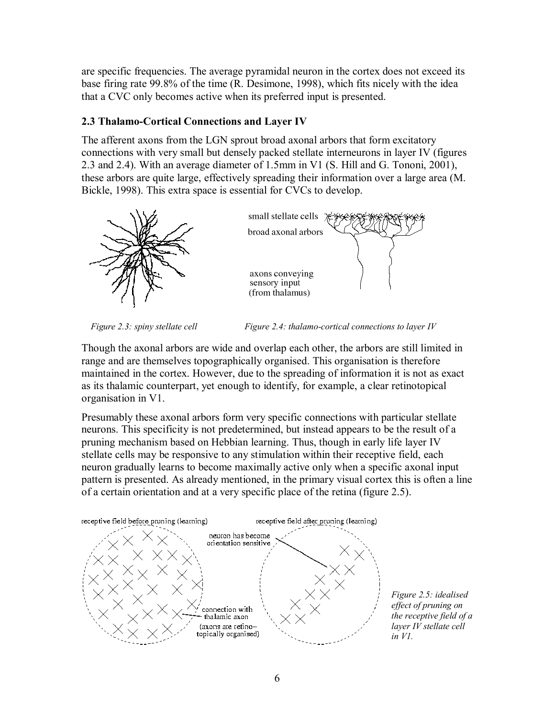are specific frequencies. The average pyramidal neuron in the cortex does not exceed its base firing rate 99.8% of the time (R. Desimone, 1998), which fits nicely with the idea that a CVC only becomes active when its preferred input is presented.

## **2.3 Thalamo-Cortical Connections and Layer IV**

The afferent axons from the LGN sprout broad axonal arbors that form excitatory connections with very small but densely packed stellate interneurons in layer IV (figures 2.3 and 2.4). With an average diameter of 1.5mm in V1 (S. Hill and G. Tononi, 2001), these arbors are quite large, effectively spreading their information over a large area (M. Bickle, 1998). This extra space is essential for CVCs to develop.



*Figure 2.3: spiny stellate cell* Figure 2.4: thalamo-cortical connections to layer IV

Though the axonal arbors are wide and overlap each other, the arbors are still limited in range and are themselves topographically organised. This organisation is therefore maintained in the cortex. However, due to the spreading of information it is not as exact as its thalamic counterpart, yet enough to identify, for example, a clear retinotopical organisation in V1.

Presumably these axonal arbors form very specific connections with particular stellate neurons. This specificity is not predetermined, but instead appears to be the result of a pruning mechanism based on Hebbian learning. Thus, though in early life layer IV stellate cells may be responsive to any stimulation within their receptive field, each neuron gradually learns to become maximally active only when a specific axonal input pattern is presented. As already mentioned, in the primary visual cortex this is often a line of a certain orientation and at a very specific place of the retina (figure 2.5).

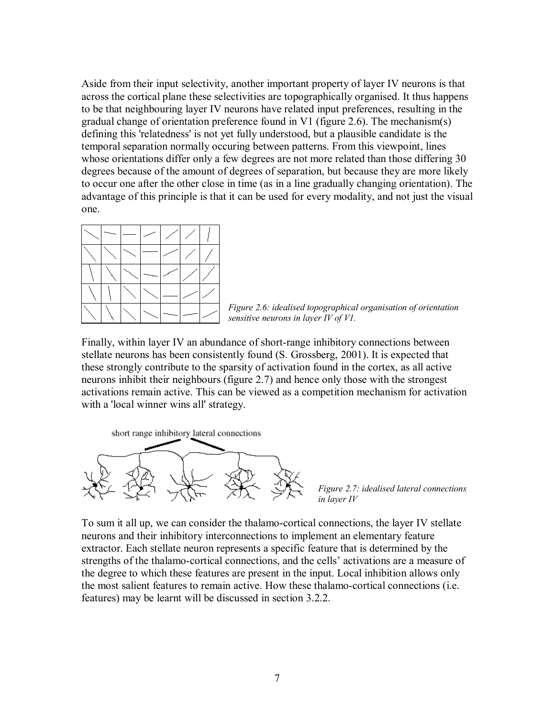Aside from their input selectivity, another important property of layer IV neurons is that across the cortical plane these selectivities are topographically organised. It thus happens to be that neighbouring layer IV neurons have related input preferences, resulting in the gradual change of orientation preference found in V1 (figure 2.6). The mechanism(s) defining this 'relatedness' is not yet fully understood, but a plausible candidate is the temporal separation normally occuring between patterns. From this viewpoint, lines whose orientations differ only a few degrees are not more related than those differing 30 degrees because of the amount of degrees of separation, but because they are more likely to occur one after the other close in time (as in a line gradually changing orientation). The advantage of this principle is that it can be used for every modality, and not just the visual one.





Finally, within layer IV an abundance of short-range inhibitory connections between stellate neurons has been consistently found (S. Grossberg, 2001). It is expected that these strongly contribute to the sparsity of activation found in the cortex, as all active neurons inhibit their neighbours (figure 2.7) and hence only those with the strongest activations remain active. This can be viewed as a competition mechanism for activation with a 'local winner wins all' strategy.

short range inhibitory lateral connections



*Figure 2.7: idealised lateral connections in layer IV* 

To sum it all up, we can consider the thalamo-cortical connections, the layer IV stellate neurons and their inhibitory interconnections to implement an elementary feature extractor. Each stellate neuron represents a specific feature that is determined by the strengths of the thalamo-cortical connections, and the cells' activations are a measure of the degree to which these features are present in the input. Local inhibition allows only the most salient features to remain active. How these thalamo-cortical connections (i.e. features) may be learnt will be discussed in section 3.2.2.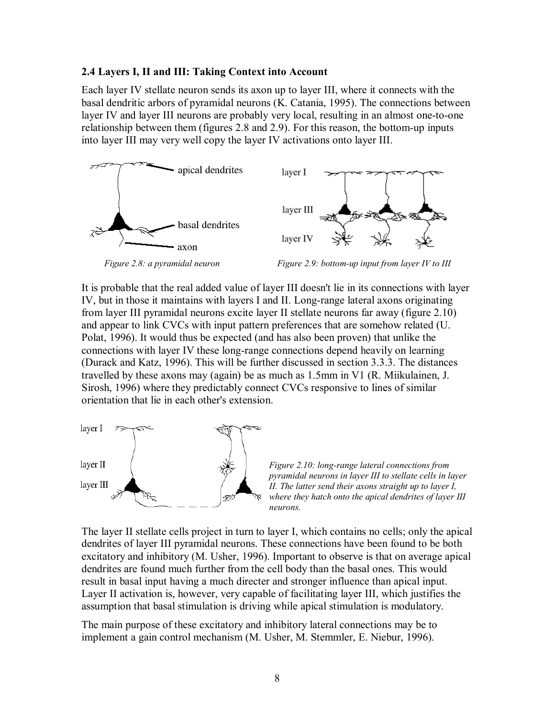#### **2.4 Layers I, II and III: Taking Context into Account**

Each layer IV stellate neuron sends its axon up to layer III, where it connects with the basal dendritic arbors of pyramidal neurons (K. Catania, 1995). The connections between layer IV and layer III neurons are probably very local, resulting in an almost one-to-one relationship between them (figures 2.8 and 2.9). For this reason, the bottom-up inputs into layer III may very well copy the layer IV activations onto layer III.



It is probable that the real added value of layer III doesn't lie in its connections with layer IV, but in those it maintains with layers I and II. Long-range lateral axons originating from layer III pyramidal neurons excite layer II stellate neurons far away (figure 2.10) and appear to link CVCs with input pattern preferences that are somehow related (U. Polat, 1996). It would thus be expected (and has also been proven) that unlike the connections with layer IV these long-range connections depend heavily on learning (Durack and Katz, 1996). This will be further discussed in section 3.3.3. The distances travelled by these axons may (again) be as much as 1.5mm in V1 (R. Miikulainen, J. Sirosh, 1996) where they predictably connect CVCs responsive to lines of similar orientation that lie in each other's extension.





The layer II stellate cells project in turn to layer I, which contains no cells; only the apical dendrites of layer III pyramidal neurons. These connections have been found to be both excitatory and inhibitory (M. Usher, 1996). Important to observe is that on average apical dendrites are found much further from the cell body than the basal ones. This would result in basal input having a much directer and stronger influence than apical input. Layer II activation is, however, very capable of facilitating layer III, which justifies the assumption that basal stimulation is driving while apical stimulation is modulatory.

The main purpose of these excitatory and inhibitory lateral connections may be to implement a gain control mechanism (M. Usher, M. Stemmler, E. Niebur, 1996).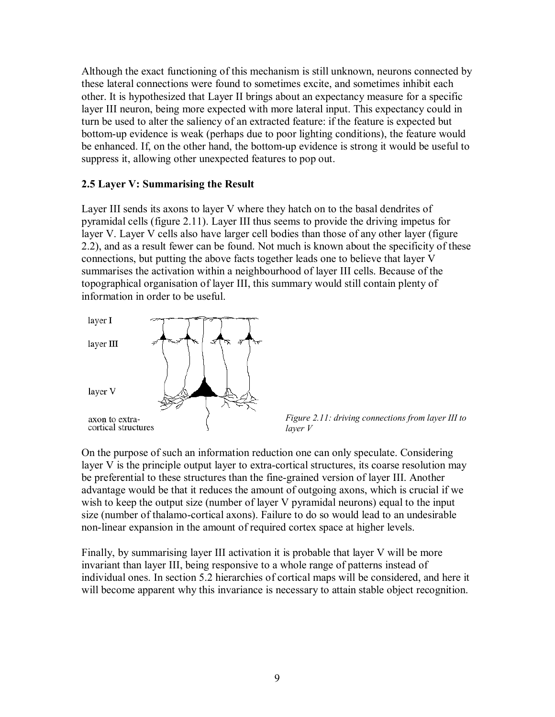Although the exact functioning of this mechanism is still unknown, neurons connected by these lateral connections were found to sometimes excite, and sometimes inhibit each other. It is hypothesized that Layer II brings about an expectancy measure for a specific layer III neuron, being more expected with more lateral input. This expectancy could in turn be used to alter the saliency of an extracted feature: if the feature is expected but bottom-up evidence is weak (perhaps due to poor lighting conditions), the feature would be enhanced. If, on the other hand, the bottom-up evidence is strong it would be useful to suppress it, allowing other unexpected features to pop out.

#### **2.5 Layer V: Summarising the Result**

Layer III sends its axons to layer V where they hatch on to the basal dendrites of pyramidal cells (figure 2.11). Layer III thus seems to provide the driving impetus for layer V. Layer V cells also have larger cell bodies than those of any other layer (figure 2.2), and as a result fewer can be found. Not much is known about the specificity of these connections, but putting the above facts together leads one to believe that layer V summarises the activation within a neighbourhood of layer III cells. Because of the topographical organisation of layer III, this summary would still contain plenty of information in order to be useful.



*Figure 2.11: driving connections from layer III to layer V* 

On the purpose of such an information reduction one can only speculate. Considering layer V is the principle output layer to extra-cortical structures, its coarse resolution may be preferential to these structures than the fine-grained version of layer III. Another advantage would be that it reduces the amount of outgoing axons, which is crucial if we wish to keep the output size (number of layer V pyramidal neurons) equal to the input size (number of thalamo-cortical axons). Failure to do so would lead to an undesirable non-linear expansion in the amount of required cortex space at higher levels.

Finally, by summarising layer III activation it is probable that layer V will be more invariant than layer III, being responsive to a whole range of patterns instead of individual ones. In section 5.2 hierarchies of cortical maps will be considered, and here it will become apparent why this invariance is necessary to attain stable object recognition.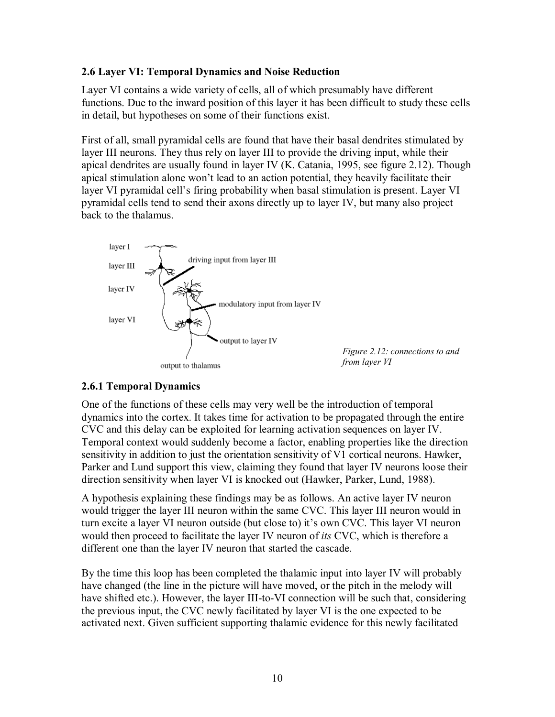#### **2.6 Layer VI: Temporal Dynamics and Noise Reduction**

Layer VI contains a wide variety of cells, all of which presumably have different functions. Due to the inward position of this layer it has been difficult to study these cells in detail, but hypotheses on some of their functions exist.

First of all, small pyramidal cells are found that have their basal dendrites stimulated by layer III neurons. They thus rely on layer III to provide the driving input, while their apical dendrites are usually found in layer IV (K. Catania, 1995, see figure 2.12). Though apical stimulation alone wonít lead to an action potential, they heavily facilitate their layer VI pyramidal cell's firing probability when basal stimulation is present. Layer VI pyramidal cells tend to send their axons directly up to layer IV, but many also project back to the thalamus.



*Figure 2.12: connections to and from layer VI* 

#### **2.6.1 Temporal Dynamics**

One of the functions of these cells may very well be the introduction of temporal dynamics into the cortex. It takes time for activation to be propagated through the entire CVC and this delay can be exploited for learning activation sequences on layer IV. Temporal context would suddenly become a factor, enabling properties like the direction sensitivity in addition to just the orientation sensitivity of V1 cortical neurons. Hawker, Parker and Lund support this view, claiming they found that layer IV neurons loose their direction sensitivity when layer VI is knocked out (Hawker, Parker, Lund, 1988).

A hypothesis explaining these findings may be as follows. An active layer IV neuron would trigger the layer III neuron within the same CVC. This layer III neuron would in turn excite a layer VI neuron outside (but close to) it's own CVC. This layer VI neuron would then proceed to facilitate the layer IV neuron of *its* CVC, which is therefore a different one than the layer IV neuron that started the cascade.

By the time this loop has been completed the thalamic input into layer IV will probably have changed (the line in the picture will have moved, or the pitch in the melody will have shifted etc.). However, the layer III-to-VI connection will be such that, considering the previous input, the CVC newly facilitated by layer VI is the one expected to be activated next. Given sufficient supporting thalamic evidence for this newly facilitated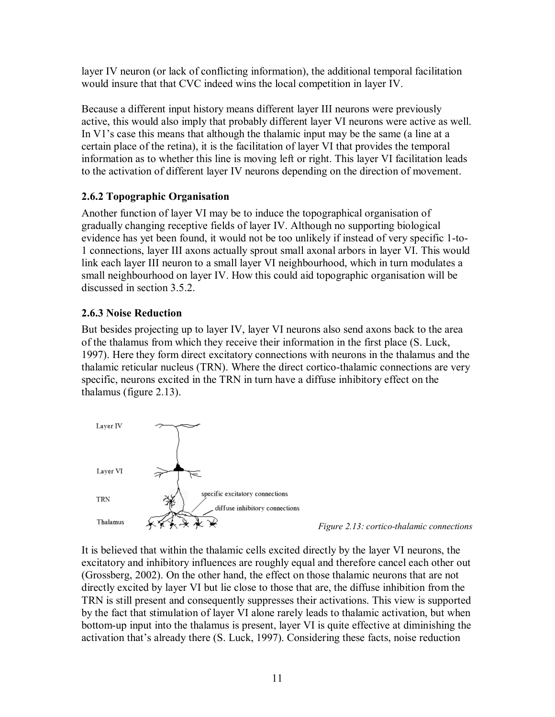layer IV neuron (or lack of conflicting information), the additional temporal facilitation would insure that that CVC indeed wins the local competition in layer IV.

Because a different input history means different layer III neurons were previously active, this would also imply that probably different layer VI neurons were active as well. In V1's case this means that although the thalamic input may be the same (a line at a certain place of the retina), it is the facilitation of layer VI that provides the temporal information as to whether this line is moving left or right. This layer VI facilitation leads to the activation of different layer IV neurons depending on the direction of movement.

## **2.6.2 Topographic Organisation**

Another function of layer VI may be to induce the topographical organisation of gradually changing receptive fields of layer IV. Although no supporting biological evidence has yet been found, it would not be too unlikely if instead of very specific 1-to-1 connections, layer III axons actually sprout small axonal arbors in layer VI. This would link each layer III neuron to a small layer VI neighbourhood, which in turn modulates a small neighbourhood on layer IV. How this could aid topographic organisation will be discussed in section 3.5.2.

## **2.6.3 Noise Reduction**

But besides projecting up to layer IV, layer VI neurons also send axons back to the area of the thalamus from which they receive their information in the first place (S. Luck, 1997). Here they form direct excitatory connections with neurons in the thalamus and the thalamic reticular nucleus (TRN). Where the direct cortico-thalamic connections are very specific, neurons excited in the TRN in turn have a diffuse inhibitory effect on the thalamus (figure 2.13).



*Figure 2.13: cortico-thalamic connections* 

It is believed that within the thalamic cells excited directly by the layer VI neurons, the excitatory and inhibitory influences are roughly equal and therefore cancel each other out (Grossberg, 2002). On the other hand, the effect on those thalamic neurons that are not directly excited by layer VI but lie close to those that are, the diffuse inhibition from the TRN is still present and consequently suppresses their activations. This view is supported by the fact that stimulation of layer VI alone rarely leads to thalamic activation, but when bottom-up input into the thalamus is present, layer VI is quite effective at diminishing the activation that's already there (S. Luck, 1997). Considering these facts, noise reduction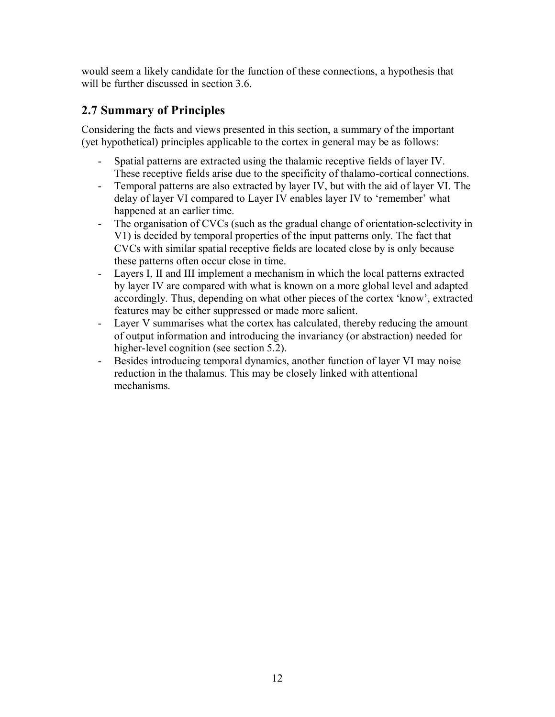would seem a likely candidate for the function of these connections, a hypothesis that will be further discussed in section 3.6.

# **2.7 Summary of Principles**

Considering the facts and views presented in this section, a summary of the important (yet hypothetical) principles applicable to the cortex in general may be as follows:

- Spatial patterns are extracted using the thalamic receptive fields of layer IV. These receptive fields arise due to the specificity of thalamo-cortical connections.
- Temporal patterns are also extracted by layer IV, but with the aid of layer VI. The delay of layer VI compared to Layer IV enables layer IV to 'remember' what happened at an earlier time.
- The organisation of CVCs (such as the gradual change of orientation-selectivity in V1) is decided by temporal properties of the input patterns only. The fact that CVCs with similar spatial receptive fields are located close by is only because these patterns often occur close in time.
- Layers I, II and III implement a mechanism in which the local patterns extracted by layer IV are compared with what is known on a more global level and adapted accordingly. Thus, depending on what other pieces of the cortex 'know', extracted features may be either suppressed or made more salient.
- Layer V summarises what the cortex has calculated, thereby reducing the amount of output information and introducing the invariancy (or abstraction) needed for higher-level cognition (see section 5.2).
- Besides introducing temporal dynamics, another function of layer VI may noise reduction in the thalamus. This may be closely linked with attentional mechanisms.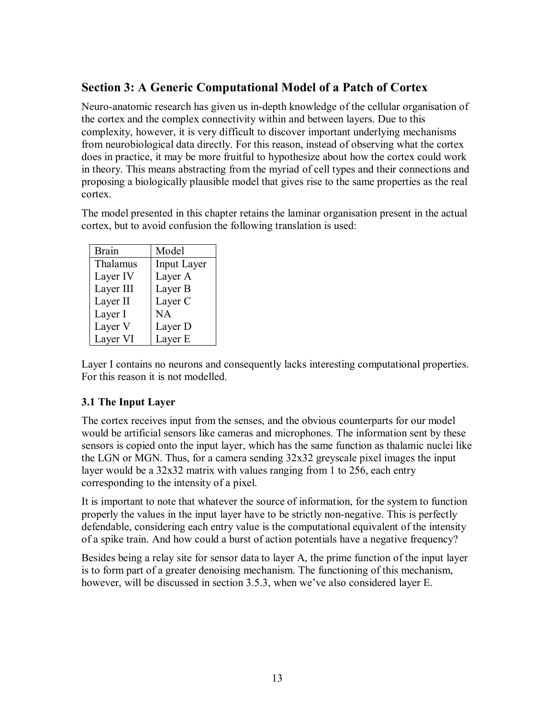# **Section 3: A Generic Computational Model of a Patch of Cortex**

Neuro-anatomic research has given us in-depth knowledge of the cellular organisation of the cortex and the complex connectivity within and between layers. Due to this complexity, however, it is very difficult to discover important underlying mechanisms from neurobiological data directly. For this reason, instead of observing what the cortex does in practice, it may be more fruitful to hypothesize about how the cortex could work in theory. This means abstracting from the myriad of cell types and their connections and proposing a biologically plausible model that gives rise to the same properties as the real cortex.

The model presented in this chapter retains the laminar organisation present in the actual cortex, but to avoid confusion the following translation is used:

| <b>Brain</b> | Model       |
|--------------|-------------|
| Thalamus     | Input Layer |
| Layer IV     | Layer A     |
| Layer III    | Layer B     |
| Layer II     | Layer C     |
| Layer I      | <b>NA</b>   |
| Layer V      | Layer D     |
| Layer VI     | Layer E     |

Layer I contains no neurons and consequently lacks interesting computational properties. For this reason it is not modelled.

#### **3.1 The Input Layer**

The cortex receives input from the senses, and the obvious counterparts for our model would be artificial sensors like cameras and microphones. The information sent by these sensors is copied onto the input layer, which has the same function as thalamic nuclei like the LGN or MGN. Thus, for a camera sending 32x32 greyscale pixel images the input layer would be a 32x32 matrix with values ranging from 1 to 256, each entry corresponding to the intensity of a pixel.

It is important to note that whatever the source of information, for the system to function properly the values in the input layer have to be strictly non-negative. This is perfectly defendable, considering each entry value is the computational equivalent of the intensity of a spike train. And how could a burst of action potentials have a negative frequency?

Besides being a relay site for sensor data to layer A, the prime function of the input layer is to form part of a greater denoising mechanism. The functioning of this mechanism, however, will be discussed in section 3.5.3, when we've also considered layer E.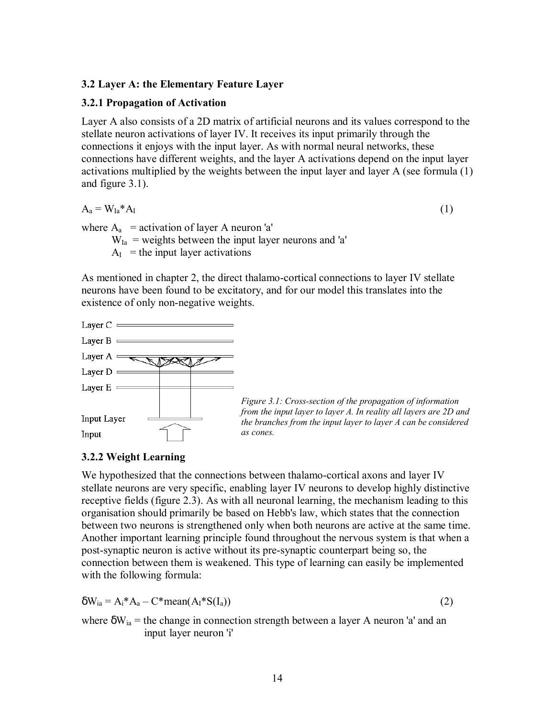#### **3.2 Layer A: the Elementary Feature Layer**

#### **3.2.1 Propagation of Activation**

Layer A also consists of a 2D matrix of artificial neurons and its values correspond to the stellate neuron activations of layer IV. It receives its input primarily through the connections it enjoys with the input layer. As with normal neural networks, these connections have different weights, and the layer A activations depend on the input layer activations multiplied by the weights between the input layer and layer A (see formula (1) and figure 3.1).

$$
A_a = W_{Ia}^* A_I \tag{1}
$$

where  $A_a$  = activation of layer A neuron 'a'

 $W_{Ia}$  = weights between the input layer neurons and 'a'

 $A<sub>I</sub>$  = the input layer activations

As mentioned in chapter 2, the direct thalamo-cortical connections to layer IV stellate neurons have been found to be excitatory, and for our model this translates into the existence of only non-negative weights.





## **3.2.2 Weight Learning**

We hypothesized that the connections between thalamo-cortical axons and layer IV stellate neurons are very specific, enabling layer IV neurons to develop highly distinctive receptive fields (figure 2.3). As with all neuronal learning, the mechanism leading to this organisation should primarily be based on Hebb's law, which states that the connection between two neurons is strengthened only when both neurons are active at the same time. Another important learning principle found throughout the nervous system is that when a post-synaptic neuron is active without its pre-synaptic counterpart being so, the connection between them is weakened. This type of learning can easily be implemented with the following formula:

$$
\delta W_{ia} = A_i^* A_a - C^* \text{mean}(A_i^* S(I_a)) \tag{2}
$$

where  $\delta W_{ia}$  = the change in connection strength between a layer A neuron 'a' and an input layer neuron 'i'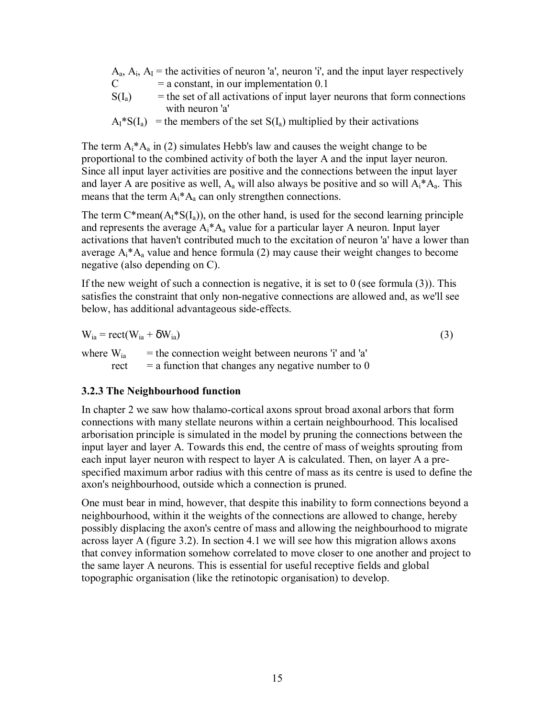- $A_a$ ,  $A_i$ ,  $A_l$  = the activities of neuron 'a', neuron 'i', and the input layer respectively  $C = a constant$ , in our implementation 0.1
- $S(I_a)$  = the set of all activations of input layer neurons that form connections with neuron 'a'
- $A_1^*S(I_a)$  = the members of the set  $S(I_a)$  multiplied by their activations

The term  $A_i^*A_a$  in (2) simulates Hebb's law and causes the weight change to be proportional to the combined activity of both the layer A and the input layer neuron. Since all input layer activities are positive and the connections between the input layer and layer A are positive as well,  $A_a$  will also always be positive and so will  $A_i^*A_a$ . This means that the term  $A_i^*A_a$  can only strengthen connections.

The term  $C^*$ mean( $A_I^*S(I_a)$ ), on the other hand, is used for the second learning principle and represents the average  $A_i^*A_a$  value for a particular layer A neuron. Input layer activations that haven't contributed much to the excitation of neuron 'a' have a lower than average  $A_i^*A_a$  value and hence formula (2) may cause their weight changes to become negative (also depending on C).

If the new weight of such a connection is negative, it is set to  $0$  (see formula  $(3)$ ). This satisfies the constraint that only non-negative connections are allowed and, as we'll see below, has additional advantageous side-effects.

 $W_{ia} = rect(W_{ia} + \delta W_{ia})$  (3) where  $W_{ia}$  = the connection weight between neurons 'i' and 'a' rect  $=$  a function that changes any negative number to 0

#### **3.2.3 The Neighbourhood function**

In chapter 2 we saw how thalamo-cortical axons sprout broad axonal arbors that form connections with many stellate neurons within a certain neighbourhood. This localised arborisation principle is simulated in the model by pruning the connections between the input layer and layer A. Towards this end, the centre of mass of weights sprouting from each input layer neuron with respect to layer A is calculated. Then, on layer A a prespecified maximum arbor radius with this centre of mass as its centre is used to define the axon's neighbourhood, outside which a connection is pruned.

One must bear in mind, however, that despite this inability to form connections beyond a neighbourhood, within it the weights of the connections are allowed to change, hereby possibly displacing the axon's centre of mass and allowing the neighbourhood to migrate across layer A (figure 3.2). In section 4.1 we will see how this migration allows axons that convey information somehow correlated to move closer to one another and project to the same layer A neurons. This is essential for useful receptive fields and global topographic organisation (like the retinotopic organisation) to develop.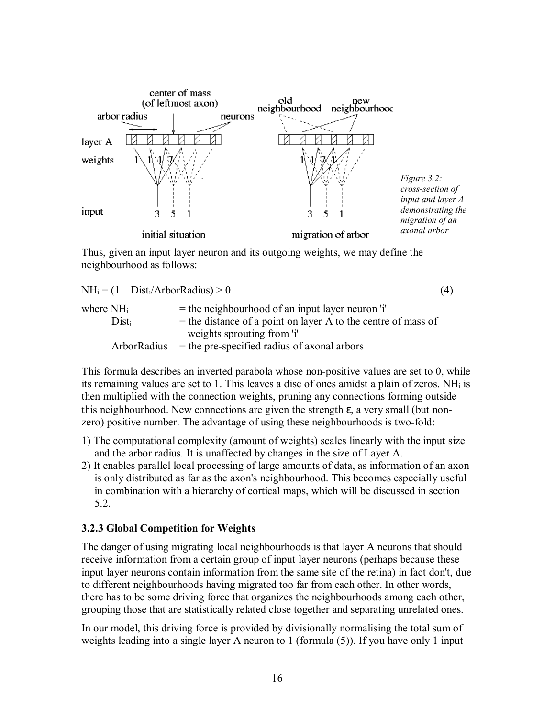

*Figure 3.2: cross-section of input and layer A demonstrating the migration of an axonal arbor* 

Thus, given an input layer neuron and its outgoing weights, we may define the neighbourhood as follows:

| $NH_i = (1 - Dist_i/ArborRadius) > 0$ |                                                                                               | (4) |
|---------------------------------------|-----------------------------------------------------------------------------------------------|-----|
| where $NHi$                           | $=$ the neighbourhood of an input layer neuron 'i'                                            |     |
| $Dist_i$                              | $=$ the distance of a point on layer A to the centre of mass of<br>weights sprouting from 'i' |     |
| ArborRadius                           | $=$ the pre-specified radius of axonal arbors                                                 |     |

This formula describes an inverted parabola whose non-positive values are set to 0, while its remaining values are set to 1. This leaves a disc of ones amidst a plain of zeros.  $NH<sub>i</sub>$  is then multiplied with the connection weights, pruning any connections forming outside this neighbourhood. New connections are given the strength  $\varepsilon$ , a very small (but nonzero) positive number. The advantage of using these neighbourhoods is two-fold:

- 1) The computational complexity (amount of weights) scales linearly with the input size and the arbor radius. It is unaffected by changes in the size of Layer A.
- 2) It enables parallel local processing of large amounts of data, as information of an axon is only distributed as far as the axon's neighbourhood. This becomes especially useful in combination with a hierarchy of cortical maps, which will be discussed in section 5.2.

#### **3.2.3 Global Competition for Weights**

The danger of using migrating local neighbourhoods is that layer A neurons that should receive information from a certain group of input layer neurons (perhaps because these input layer neurons contain information from the same site of the retina) in fact don't, due to different neighbourhoods having migrated too far from each other. In other words, there has to be some driving force that organizes the neighbourhoods among each other, grouping those that are statistically related close together and separating unrelated ones.

In our model, this driving force is provided by divisionally normalising the total sum of weights leading into a single layer A neuron to 1 (formula (5)). If you have only 1 input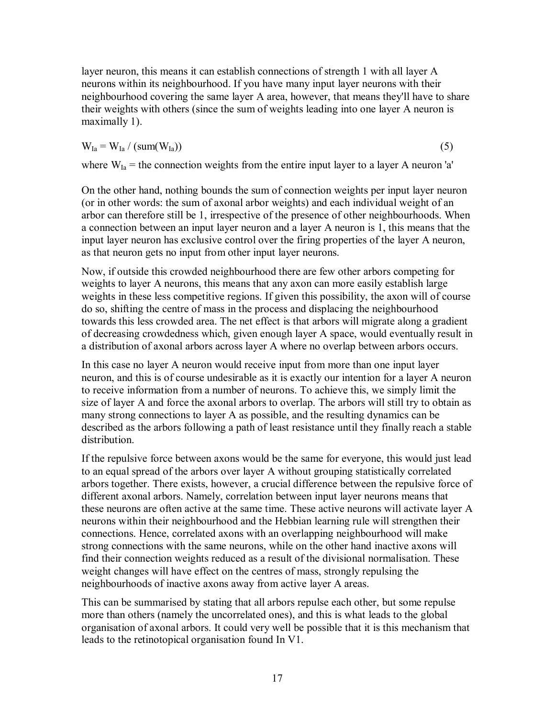layer neuron, this means it can establish connections of strength 1 with all layer A neurons within its neighbourhood. If you have many input layer neurons with their neighbourhood covering the same layer A area, however, that means they'll have to share their weights with others (since the sum of weights leading into one layer A neuron is maximally 1).

 $W_{Ia} = W_{Ia} / (sum(W_{Ia}))$  (5)

where  $W_{1a}$  = the connection weights from the entire input layer to a layer A neuron 'a'

On the other hand, nothing bounds the sum of connection weights per input layer neuron (or in other words: the sum of axonal arbor weights) and each individual weight of an arbor can therefore still be 1, irrespective of the presence of other neighbourhoods. When a connection between an input layer neuron and a layer A neuron is 1, this means that the input layer neuron has exclusive control over the firing properties of the layer A neuron, as that neuron gets no input from other input layer neurons.

Now, if outside this crowded neighbourhood there are few other arbors competing for weights to layer A neurons, this means that any axon can more easily establish large weights in these less competitive regions. If given this possibility, the axon will of course do so, shifting the centre of mass in the process and displacing the neighbourhood towards this less crowded area. The net effect is that arbors will migrate along a gradient of decreasing crowdedness which, given enough layer A space, would eventually result in a distribution of axonal arbors across layer A where no overlap between arbors occurs.

In this case no layer A neuron would receive input from more than one input layer neuron, and this is of course undesirable as it is exactly our intention for a layer A neuron to receive information from a number of neurons. To achieve this, we simply limit the size of layer A and force the axonal arbors to overlap. The arbors will still try to obtain as many strong connections to layer A as possible, and the resulting dynamics can be described as the arbors following a path of least resistance until they finally reach a stable distribution.

If the repulsive force between axons would be the same for everyone, this would just lead to an equal spread of the arbors over layer A without grouping statistically correlated arbors together. There exists, however, a crucial difference between the repulsive force of different axonal arbors. Namely, correlation between input layer neurons means that these neurons are often active at the same time. These active neurons will activate layer A neurons within their neighbourhood and the Hebbian learning rule will strengthen their connections. Hence, correlated axons with an overlapping neighbourhood will make strong connections with the same neurons, while on the other hand inactive axons will find their connection weights reduced as a result of the divisional normalisation. These weight changes will have effect on the centres of mass, strongly repulsing the neighbourhoods of inactive axons away from active layer A areas.

This can be summarised by stating that all arbors repulse each other, but some repulse more than others (namely the uncorrelated ones), and this is what leads to the global organisation of axonal arbors. It could very well be possible that it is this mechanism that leads to the retinotopical organisation found In V1.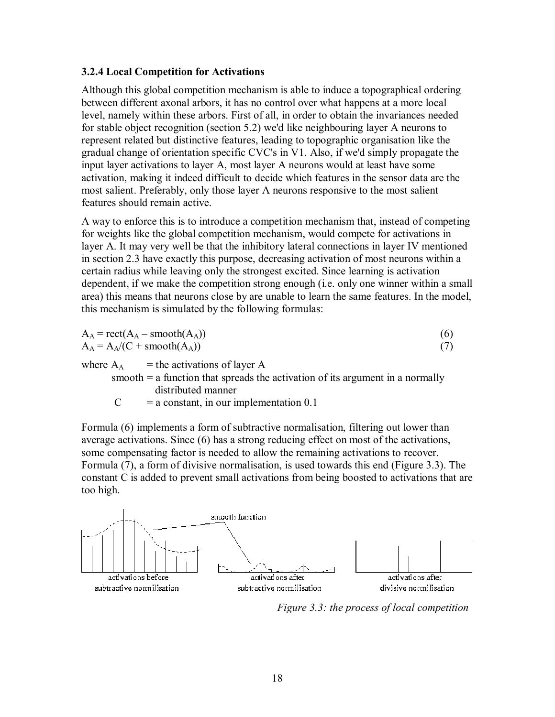#### **3.2.4 Local Competition for Activations**

Although this global competition mechanism is able to induce a topographical ordering between different axonal arbors, it has no control over what happens at a more local level, namely within these arbors. First of all, in order to obtain the invariances needed for stable object recognition (section 5.2) we'd like neighbouring layer A neurons to represent related but distinctive features, leading to topographic organisation like the gradual change of orientation specific CVC's in V1. Also, if we'd simply propagate the input layer activations to layer A, most layer A neurons would at least have some activation, making it indeed difficult to decide which features in the sensor data are the most salient. Preferably, only those layer A neurons responsive to the most salient features should remain active.

A way to enforce this is to introduce a competition mechanism that, instead of competing for weights like the global competition mechanism, would compete for activations in layer A. It may very well be that the inhibitory lateral connections in layer IV mentioned in section 2.3 have exactly this purpose, decreasing activation of most neurons within a certain radius while leaving only the strongest excited. Since learning is activation dependent, if we make the competition strong enough (i.e. only one winner within a small area) this means that neurons close by are unable to learn the same features. In the model, this mechanism is simulated by the following formulas:

| (6) |
|-----|
|     |
|     |

where  $A_A$  = the activations of layer A  $smooth = a$  function that spreads the activation of its argument in a normally distributed manner

 $C = a constant$ , in our implementation 0.1

Formula (6) implements a form of subtractive normalisation, filtering out lower than average activations. Since (6) has a strong reducing effect on most of the activations, some compensating factor is needed to allow the remaining activations to recover. Formula (7), a form of divisive normalisation, is used towards this end (Figure 3.3). The constant C is added to prevent small activations from being boosted to activations that are too high.



*Figure 3.3: the process of local competition*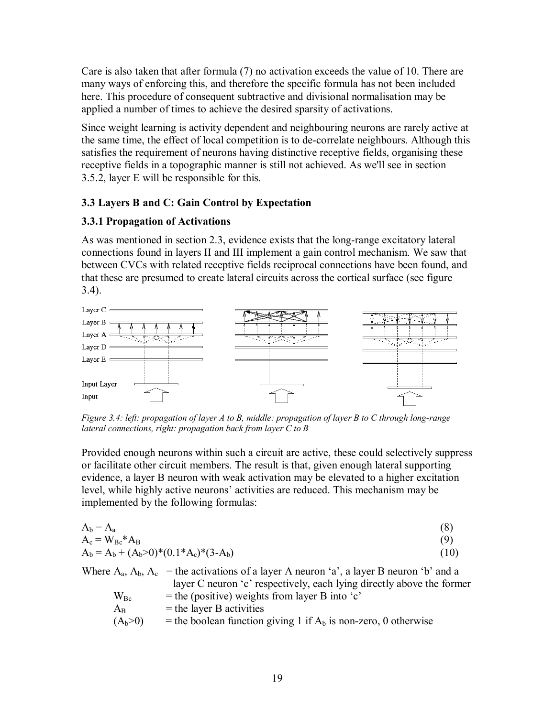Care is also taken that after formula (7) no activation exceeds the value of 10. There are many ways of enforcing this, and therefore the specific formula has not been included here. This procedure of consequent subtractive and divisional normalisation may be applied a number of times to achieve the desired sparsity of activations.

Since weight learning is activity dependent and neighbouring neurons are rarely active at the same time, the effect of local competition is to de-correlate neighbours. Although this satisfies the requirement of neurons having distinctive receptive fields, organising these receptive fields in a topographic manner is still not achieved. As we'll see in section 3.5.2, layer E will be responsible for this.

### **3.3 Layers B and C: Gain Control by Expectation**

#### **3.3.1 Propagation of Activations**

As was mentioned in section 2.3, evidence exists that the long-range excitatory lateral connections found in layers II and III implement a gain control mechanism. We saw that between CVCs with related receptive fields reciprocal connections have been found, and that these are presumed to create lateral circuits across the cortical surface (see figure 3.4).



*Figure 3.4: left: propagation of layer A to B, middle: propagation of layer B to C through long-range lateral connections, right: propagation back from layer C to B* 

Provided enough neurons within such a circuit are active, these could selectively suppress or facilitate other circuit members. The result is that, given enough lateral supporting evidence, a layer B neuron with weak activation may be elevated to a higher excitation level, while highly active neurons' activities are reduced. This mechanism may be implemented by the following formulas:

$$
A_b = A_a
$$
\n(8)  
\n
$$
A_c = W_{Bc} * A_B
$$
\n(9)  
\n
$$
A_b = A_b + (A_b > 0) * (0.1 * A_c) * (3 - A_b)
$$
\n(10)  
\nWhere  $A_a$ ,  $A_b$ ,  $A_c$  = the activations of a layer A neuron 'a', a layer B neuron 'b' and a  
\nlayer C neuron 'c' respectively, each lying directly above the former  
\n
$$
W_{Bc} = the (positive) weights from layer B into 'c'
$$
\n
$$
A_B = the layer B activities
$$

| $(A_b>0)$ |  | = the boolean function giving 1 if $A_b$ is non-zero, 0 otherwise |  |
|-----------|--|-------------------------------------------------------------------|--|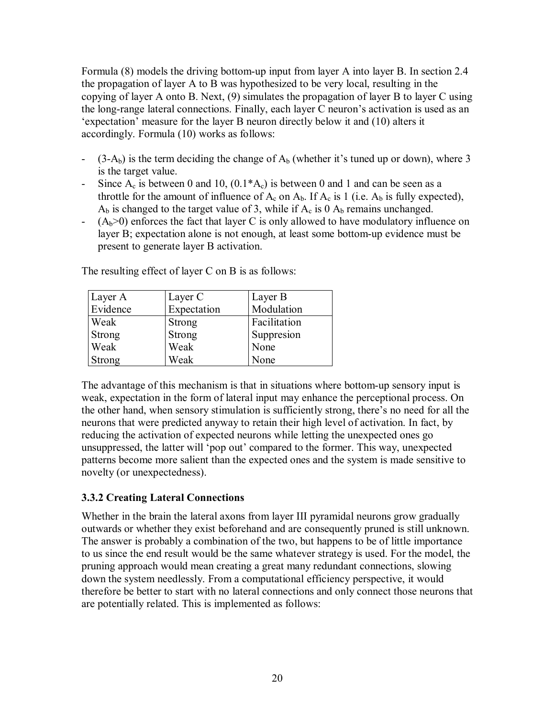Formula (8) models the driving bottom-up input from layer A into layer B. In section 2.4 the propagation of layer A to B was hypothesized to be very local, resulting in the copying of layer A onto B. Next, (9) simulates the propagation of layer B to layer C using the long-range lateral connections. Finally, each layer C neuron's activation is used as an  $\epsilon$  expectation<sup> $\epsilon$ </sup> measure for the layer B neuron directly below it and (10) alters it accordingly. Formula (10) works as follows:

- $(3-A_b)$  is the term deciding the change of  $A_b$  (whether it's tuned up or down), where 3 is the target value.
- Since  $A_c$  is between 0 and 10,  $(0.1^*A_c)$  is between 0 and 1 and can be seen as a throttle for the amount of influence of  $A_c$  on  $A_b$ . If  $A_c$  is 1 (i.e.  $A_b$  is fully expected),  $A_b$  is changed to the target value of 3, while if  $A_c$  is 0  $A_b$  remains unchanged.
- $(A_b>0)$  enforces the fact that layer C is only allowed to have modulatory influence on layer B; expectation alone is not enough, at least some bottom-up evidence must be present to generate layer B activation.

| Layer A       | Layer C       | Layer B      |
|---------------|---------------|--------------|
| Evidence      | Expectation   | Modulation   |
| Weak          | <b>Strong</b> | Facilitation |
| <b>Strong</b> | Strong        | Suppresion   |
| Weak          | Weak          | None         |
| <b>Strong</b> | Weak          | None         |

The resulting effect of layer C on B is as follows:

The advantage of this mechanism is that in situations where bottom-up sensory input is weak, expectation in the form of lateral input may enhance the perceptional process. On the other hand, when sensory stimulation is sufficiently strong, there's no need for all the neurons that were predicted anyway to retain their high level of activation. In fact, by reducing the activation of expected neurons while letting the unexpected ones go unsuppressed, the latter will 'pop out' compared to the former. This way, unexpected patterns become more salient than the expected ones and the system is made sensitive to novelty (or unexpectedness).

## **3.3.2 Creating Lateral Connections**

Whether in the brain the lateral axons from layer III pyramidal neurons grow gradually outwards or whether they exist beforehand and are consequently pruned is still unknown. The answer is probably a combination of the two, but happens to be of little importance to us since the end result would be the same whatever strategy is used. For the model, the pruning approach would mean creating a great many redundant connections, slowing down the system needlessly. From a computational efficiency perspective, it would therefore be better to start with no lateral connections and only connect those neurons that are potentially related. This is implemented as follows: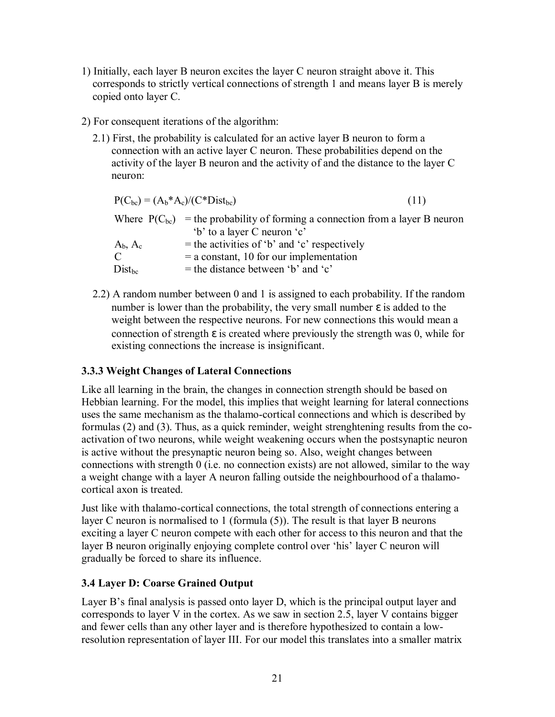- 1) Initially, each layer B neuron excites the layer C neuron straight above it. This corresponds to strictly vertical connections of strength 1 and means layer B is merely copied onto layer C.
- 2) For consequent iterations of the algorithm:
	- 2.1) First, the probability is calculated for an active layer B neuron to form a connection with an active layer C neuron. These probabilities depend on the activity of the layer B neuron and the activity of and the distance to the layer C neuron:

| $P(C_{bc}) = (A_b * A_c)/(C * Dist_{bc})$ |                                                                                   | (11) |
|-------------------------------------------|-----------------------------------------------------------------------------------|------|
|                                           | Where $P(C_{bc})$ = the probability of forming a connection from a layer B neuron |      |
|                                           | 'b' to a layer C neuron 'c'                                                       |      |
| $A_b$ , $A_c$                             | $=$ the activities of 'b' and 'c' respectively                                    |      |
| $\mathcal{C}$                             | $=$ a constant, 10 for our implementation                                         |      |
| $Dist_{bc}$                               | $=$ the distance between 'b' and 'c'                                              |      |

 2.2) A random number between 0 and 1 is assigned to each probability. If the random number is lower than the probability, the very small number  $\varepsilon$  is added to the weight between the respective neurons. For new connections this would mean a connection of strength  $\varepsilon$  is created where previously the strength was 0, while for existing connections the increase is insignificant.

## **3.3.3 Weight Changes of Lateral Connections**

Like all learning in the brain, the changes in connection strength should be based on Hebbian learning. For the model, this implies that weight learning for lateral connections uses the same mechanism as the thalamo-cortical connections and which is described by formulas (2) and (3). Thus, as a quick reminder, weight strenghtening results from the coactivation of two neurons, while weight weakening occurs when the postsynaptic neuron is active without the presynaptic neuron being so. Also, weight changes between connections with strength 0 (i.e. no connection exists) are not allowed, similar to the way a weight change with a layer A neuron falling outside the neighbourhood of a thalamocortical axon is treated.

Just like with thalamo-cortical connections, the total strength of connections entering a layer C neuron is normalised to 1 (formula (5)). The result is that layer B neurons exciting a layer C neuron compete with each other for access to this neuron and that the layer B neuron originally enjoying complete control over 'his' layer C neuron will gradually be forced to share its influence.

#### **3.4 Layer D: Coarse Grained Output**

Layer B's final analysis is passed onto layer D, which is the principal output layer and corresponds to layer V in the cortex. As we saw in section 2.5, layer V contains bigger and fewer cells than any other layer and is therefore hypothesized to contain a lowresolution representation of layer III. For our model this translates into a smaller matrix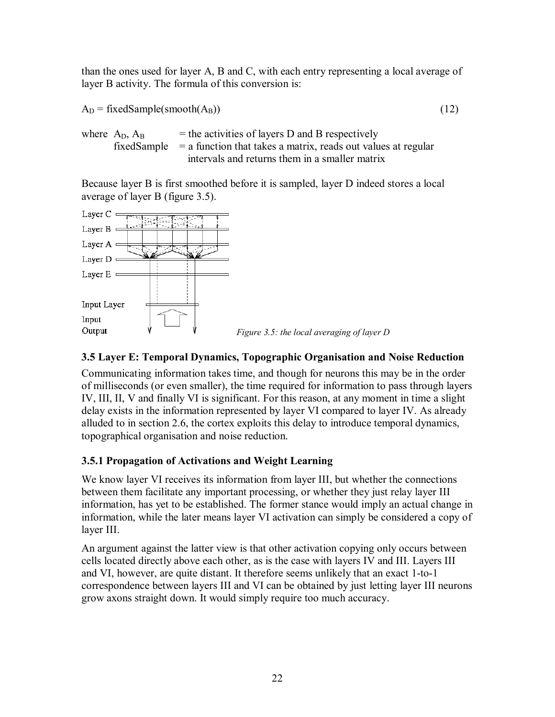than the ones used for layer A, B and C, with each entry representing a local average of layer B activity. The formula of this conversion is:

$$
A_D = \text{fixedSample}(\text{smooth}(A_B))
$$
\n(12)

where  $A_D$ ,  $A_B$  = the activities of layers D and B respectively fixedSample  $=$  a function that takes a matrix, reads out values at regular intervals and returns them in a smaller matrix

Because layer B is first smoothed before it is sampled, layer D indeed stores a local average of layer B (figure 3.5).



## **3.5 Layer E: Temporal Dynamics, Topographic Organisation and Noise Reduction**

Communicating information takes time, and though for neurons this may be in the order of milliseconds (or even smaller), the time required for information to pass through layers IV, III, II, V and finally VI is significant. For this reason, at any moment in time a slight delay exists in the information represented by layer VI compared to layer IV. As already alluded to in section 2.6, the cortex exploits this delay to introduce temporal dynamics, topographical organisation and noise reduction.

## **3.5.1 Propagation of Activations and Weight Learning**

We know layer VI receives its information from layer III, but whether the connections between them facilitate any important processing, or whether they just relay layer III information, has yet to be established. The former stance would imply an actual change in information, while the later means layer VI activation can simply be considered a copy of layer III.

An argument against the latter view is that other activation copying only occurs between cells located directly above each other, as is the case with layers IV and III. Layers III and VI, however, are quite distant. It therefore seems unlikely that an exact 1-to-1 correspondence between layers III and VI can be obtained by just letting layer III neurons grow axons straight down. It would simply require too much accuracy.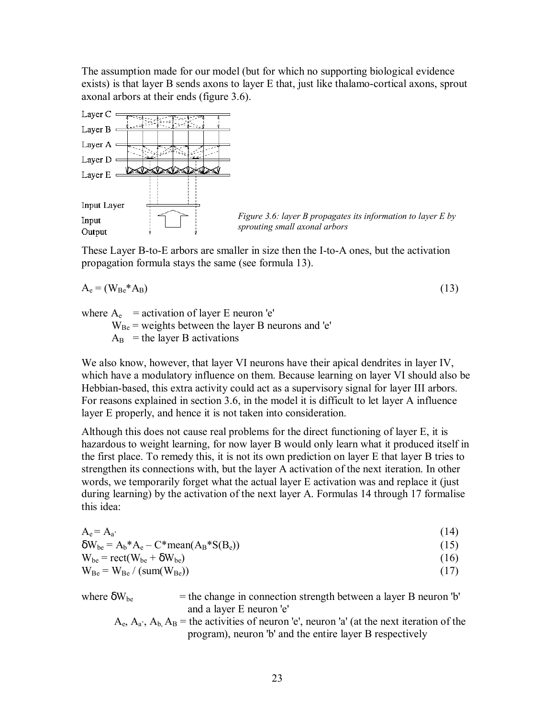The assumption made for our model (but for which no supporting biological evidence exists) is that layer B sends axons to layer E that, just like thalamo-cortical axons, sprout axonal arbors at their ends (figure 3.6).



These Layer B-to-E arbors are smaller in size then the I-to-A ones, but the activation propagation formula stays the same (see formula 13).

$$
A_e = (W_{Be}^* A_B)
$$
 (13)

where  $A_e$  = activation of layer E neuron 'e'  $W_{\text{Be}}$  = weights between the layer B neurons and 'e'  $A_B$  = the layer B activations

We also know, however, that layer VI neurons have their apical dendrites in layer IV, which have a modulatory influence on them. Because learning on layer VI should also be Hebbian-based, this extra activity could act as a supervisory signal for layer III arbors. For reasons explained in section 3.6, in the model it is difficult to let layer A influence layer E properly, and hence it is not taken into consideration.

Although this does not cause real problems for the direct functioning of layer E, it is hazardous to weight learning, for now layer B would only learn what it produced itself in the first place. To remedy this, it is not its own prediction on layer E that layer B tries to strengthen its connections with, but the layer A activation of the next iteration. In other words, we temporarily forget what the actual layer E activation was and replace it (just during learning) by the activation of the next layer A. Formulas 14 through 17 formalise this idea:

$$
A_e = A_a, \tag{14}
$$

| $\delta W_{be} = A_b^* A_e - C^* \text{mean}(A_B^* S(B_e))$ |  |
|-------------------------------------------------------------|--|
|                                                             |  |

$$
W_{be} = rect(W_{be} + \delta W_{be})
$$
 (16)

$$
W_{\text{Be}} = W_{\text{Be}} / (sum(W_{\text{Be}}))
$$
 (17)

where  $\delta W_{be}$  = the change in connection strength between a layer B neuron 'b' and a layer E neuron 'e'

 $A_e$ ,  $A_a$ <sup>'</sup>,  $A_b$ ,  $A_B$  = the activities of neuron 'e', neuron 'a' (at the next iteration of the program), neuron 'b' and the entire layer B respectively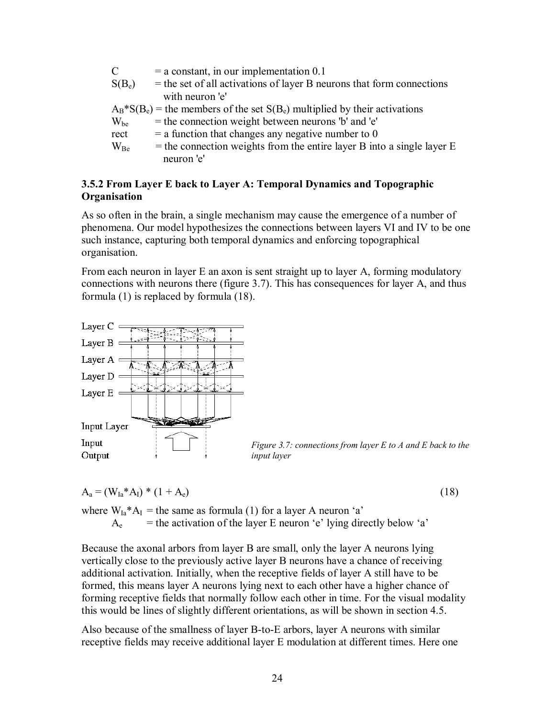| $=$ a constant, in our implementation 0.1                                                         |
|---------------------------------------------------------------------------------------------------|
| $=$ the set of all activations of layer B neurons that form connections<br>$S(B_e)$               |
| with neuron 'e'                                                                                   |
| $A_B$ <sup>*</sup> S( $B_e$ ) = the members of the set S( $B_e$ ) multiplied by their activations |
| = the connection weight between neurons 'b' and 'e'                                               |
| $=$ a function that changes any negative number to 0<br>rect                                      |
| $=$ the connection weights from the entire layer B into a single layer E<br>$W_{\rm Be}$          |
| neuron 'e'                                                                                        |
|                                                                                                   |

#### **3.5.2 From Layer E back to Layer A: Temporal Dynamics and Topographic Organisation**

As so often in the brain, a single mechanism may cause the emergence of a number of phenomena. Our model hypothesizes the connections between layers VI and IV to be one such instance, capturing both temporal dynamics and enforcing topographical organisation.

From each neuron in layer E an axon is sent straight up to layer A, forming modulatory connections with neurons there (figure 3.7). This has consequences for layer A, and thus formula (1) is replaced by formula (18).



*Figure 3.7: connections from layer E to A and E back to the input layer* 

| $A_a = (W_{Ia} * A_I) * (1 + A_e)$ |  |
|------------------------------------|--|
|                                    |  |

where  $W_{Ia}^*A_I$  = the same as formula (1) for a layer A neuron 'a'  $A_e$  = the activation of the layer E neuron 'e' lying directly below 'a'

Because the axonal arbors from layer B are small, only the layer A neurons lying vertically close to the previously active layer B neurons have a chance of receiving additional activation. Initially, when the receptive fields of layer A still have to be formed, this means layer A neurons lying next to each other have a higher chance of forming receptive fields that normally follow each other in time. For the visual modality this would be lines of slightly different orientations, as will be shown in section 4.5.

Also because of the smallness of layer B-to-E arbors, layer A neurons with similar receptive fields may receive additional layer E modulation at different times. Here one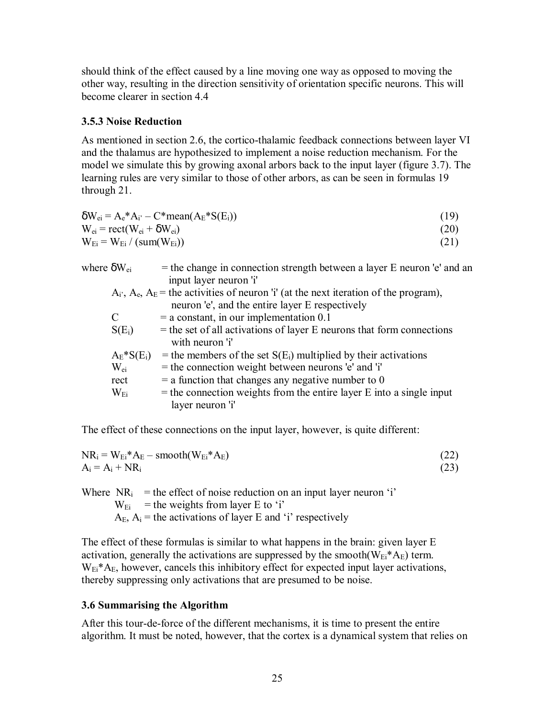should think of the effect caused by a line moving one way as opposed to moving the other way, resulting in the direction sensitivity of orientation specific neurons. This will become clearer in section 4.4

#### **3.5.3 Noise Reduction**

As mentioned in section 2.6, the cortico-thalamic feedback connections between layer VI and the thalamus are hypothesized to implement a noise reduction mechanism. For the model we simulate this by growing axonal arbors back to the input layer (figure 3.7). The learning rules are very similar to those of other arbors, as can be seen in formulas 19 through 21.

| $\delta W_{ei} = A_e * A_i - C * mean(A_E * S(E_i))$ | (19) |
|------------------------------------------------------|------|
| $W_{ei}$ = rect( $W_{ei}$ + $\delta W_{ei}$ )        | (20) |
| $W_{Ei} = W_{Ei} / (sum(W_{Ei}))$                    | (21) |

| where $\delta W_{ei}$ |                | $=$ the change in connection strength between a layer E neuron 'e' and an<br>input layer neuron 'i' |
|-----------------------|----------------|-----------------------------------------------------------------------------------------------------|
|                       |                | $A_i$ , $A_e$ , $A_E$ = the activities of neuron 'i' (at the next iteration of the program),        |
|                       |                | neuron 'e', and the entire layer E respectively                                                     |
|                       | C              | $=$ a constant, in our implementation 0.1                                                           |
|                       | $S(E_i)$       | $=$ the set of all activations of layer E neurons that form connections                             |
|                       |                | with neuron 'i'                                                                                     |
|                       | $A_E * S(E_i)$ | = the members of the set $S(E_i)$ multiplied by their activations                                   |
|                       | $W_{ei}$       | = the connection weight between neurons 'e' and 'i'                                                 |
|                       | rect           | $=$ a function that changes any negative number to 0                                                |
|                       | $W_{Ei}$       | $=$ the connection weights from the entire layer E into a single input<br>layer neuron 'i'          |

The effect of these connections on the input layer, however, is quite different:

| $NR_i = W_{E_i}^* A_E - smooth(W_{E_i}^* A_E)$ | (22) |
|------------------------------------------------|------|
| $A_i = A_i + NR_i$                             | (23) |

Where  $NR_i$  = the effect of noise reduction on an input layer neuron 'i'  $W_{Ei}$  = the weights from layer E to 'i'  $A<sub>E</sub>, A<sub>i</sub>$  = the activations of layer E and 'i' respectively

The effect of these formulas is similar to what happens in the brain: given layer E activation, generally the activations are suppressed by the smooth $(W_{Ei}^*A_E)$  term.  $W_{E_i}$ <sup>\*</sup> $A_E$ , however, cancels this inhibitory effect for expected input layer activations, thereby suppressing only activations that are presumed to be noise.

#### **3.6 Summarising the Algorithm**

After this tour-de-force of the different mechanisms, it is time to present the entire algorithm. It must be noted, however, that the cortex is a dynamical system that relies on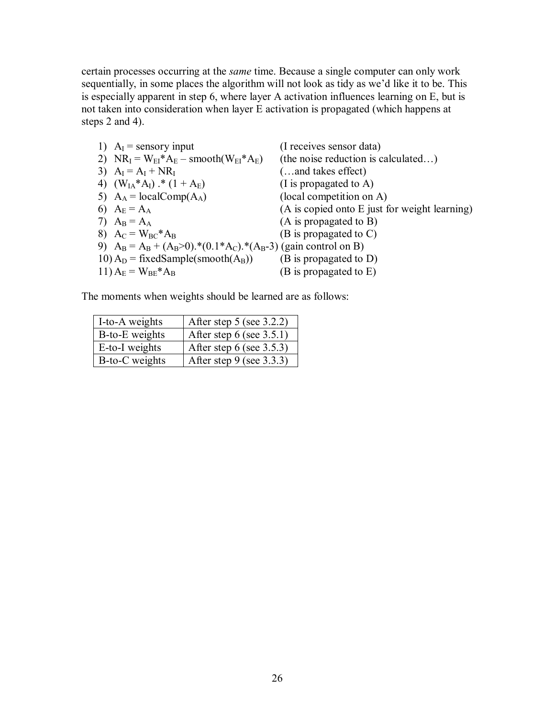certain processes occurring at the *same* time. Because a single computer can only work sequentially, in some places the algorithm will not look as tidy as we'd like it to be. This is especially apparent in step 6, where layer A activation influences learning on E, but is not taken into consideration when layer E activation is propagated (which happens at steps 2 and 4).

| 1) $A_I$ = sensory input                                              | (I receives sensor data)                      |
|-----------------------------------------------------------------------|-----------------------------------------------|
| 2) $NR_I = W_{EI}^*A_E - smooth(W_{EI}^*A_E)$                         | (the noise reduction is calculated)           |
| 3) $A_I = A_I + NR_I$                                                 | (and takes effect)                            |
| 4) $(W_{IA} * A_I) * (1 + A_E)$                                       | (I is propagated to $A$ )                     |
| 5) $A_A = localComp(A_A)$                                             | (local competition on A)                      |
| 6) $A_E = A_A$                                                        | (A is copied onto E just for weight learning) |
| 7) $A_B = A_A$                                                        | $(A \text{ is propagated to } B)$             |
| 8) $A_C = W_{BC} * A_B$                                               | $(B \text{ is propagated to } C)$             |
| 9) $A_B = A_B + (A_B > 0)^*(0.1^*A_C)^*(A_B > 3)$ (gain control on B) |                                               |
| 10) $A_D$ = fixedSample(smooth( $A_B$ ))                              | (B is propagated to D)                        |
| 11) $A_E = W_{BE} * A_B$                                              | $(B \text{ is propagated to } E)$             |

The moments when weights should be learned are as follows:

| I-to-A weights | After step $5$ (see 3.2.2)  |
|----------------|-----------------------------|
| B-to-E weights | After step $6$ (see 3.5.1)  |
| E-to-I weights | After step 6 (see $3.5.3$ ) |
| B-to-C weights | After step $9$ (see 3.3.3)  |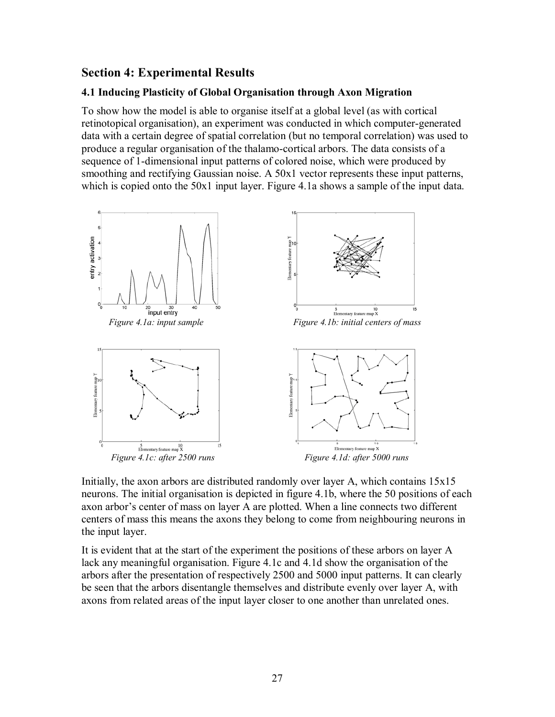## **Section 4: Experimental Results**

#### **4.1 Inducing Plasticity of Global Organisation through Axon Migration**

To show how the model is able to organise itself at a global level (as with cortical retinotopical organisation), an experiment was conducted in which computer-generated data with a certain degree of spatial correlation (but no temporal correlation) was used to produce a regular organisation of the thalamo-cortical arbors. The data consists of a sequence of 1-dimensional input patterns of colored noise, which were produced by smoothing and rectifying Gaussian noise. A 50x1 vector represents these input patterns, which is copied onto the 50x1 input layer. Figure 4.1a shows a sample of the input data.



Initially, the axon arbors are distributed randomly over layer A, which contains 15x15 neurons. The initial organisation is depicted in figure 4.1b, where the 50 positions of each axon arbor's center of mass on layer A are plotted. When a line connects two different centers of mass this means the axons they belong to come from neighbouring neurons in the input layer.

It is evident that at the start of the experiment the positions of these arbors on layer A lack any meaningful organisation. Figure 4.1c and 4.1d show the organisation of the arbors after the presentation of respectively 2500 and 5000 input patterns. It can clearly be seen that the arbors disentangle themselves and distribute evenly over layer A, with axons from related areas of the input layer closer to one another than unrelated ones.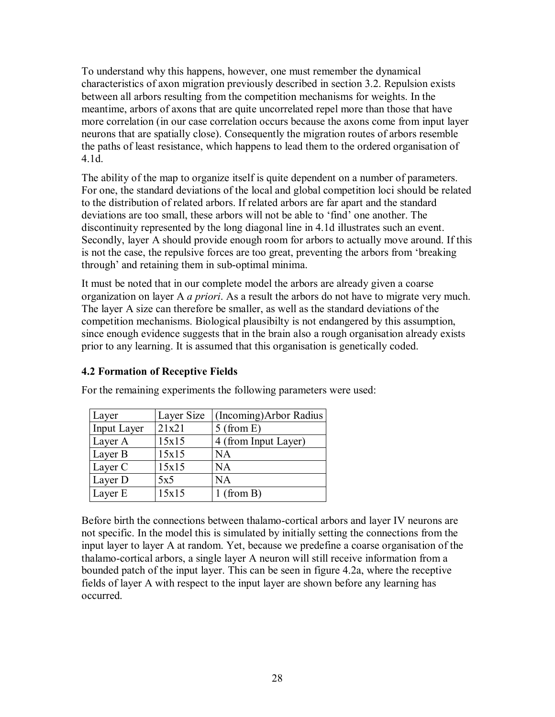To understand why this happens, however, one must remember the dynamical characteristics of axon migration previously described in section 3.2. Repulsion exists between all arbors resulting from the competition mechanisms for weights. In the meantime, arbors of axons that are quite uncorrelated repel more than those that have more correlation (in our case correlation occurs because the axons come from input layer neurons that are spatially close). Consequently the migration routes of arbors resemble the paths of least resistance, which happens to lead them to the ordered organisation of 4.1d.

The ability of the map to organize itself is quite dependent on a number of parameters. For one, the standard deviations of the local and global competition loci should be related to the distribution of related arbors. If related arbors are far apart and the standard deviations are too small, these arbors will not be able to 'find' one another. The discontinuity represented by the long diagonal line in 4.1d illustrates such an event. Secondly, layer A should provide enough room for arbors to actually move around. If this is not the case, the repulsive forces are too great, preventing the arbors from 'breaking' through' and retaining them in sub-optimal minima.

It must be noted that in our complete model the arbors are already given a coarse organization on layer A *a priori*. As a result the arbors do not have to migrate very much. The layer A size can therefore be smaller, as well as the standard deviations of the competition mechanisms. Biological plausibilty is not endangered by this assumption, since enough evidence suggests that in the brain also a rough organisation already exists prior to any learning. It is assumed that this organisation is genetically coded.

#### **4.2 Formation of Receptive Fields**

| Layer       | Layer Size | (Incoming) Arbor Radius |
|-------------|------------|-------------------------|
| Input Layer | 21x21      | $5 \text{ (from E)}$    |
| Layer A     | 15x15      | 4 (from Input Layer)    |
| Layer B     | 15x15      | <b>NA</b>               |
| Layer C     | 15x15      | NA                      |
| Layer D     | 5x5        | NA                      |
| Layer E     | 15x15      | $1$ (from B)            |

For the remaining experiments the following parameters were used:

Before birth the connections between thalamo-cortical arbors and layer IV neurons are not specific. In the model this is simulated by initially setting the connections from the input layer to layer A at random. Yet, because we predefine a coarse organisation of the thalamo-cortical arbors, a single layer A neuron will still receive information from a bounded patch of the input layer. This can be seen in figure 4.2a, where the receptive fields of layer A with respect to the input layer are shown before any learning has occurred.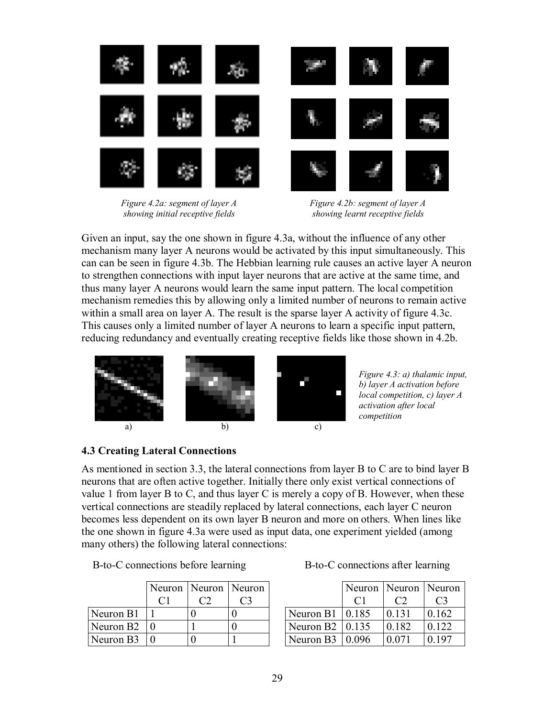

*Figure 4.2a: segment of layer A* Figure 4.2b: segment of layer A  *showing initial receptive fields showing learnt receptive fields* 

Given an input, say the one shown in figure 4.3a, without the influence of any other mechanism many layer A neurons would be activated by this input simultaneously. This can can be seen in figure 4.3b. The Hebbian learning rule causes an active layer A neuron to strengthen connections with input layer neurons that are active at the same time, and thus many layer A neurons would learn the same input pattern. The local competition mechanism remedies this by allowing only a limited number of neurons to remain active within a small area on layer A. The result is the sparse layer A activity of figure 4.3c. This causes only a limited number of layer A neurons to learn a specific input pattern, reducing redundancy and eventually creating receptive fields like those shown in 4.2b.



*Figure 4.3: a) thalamic input, b) layer A activation before local competition, c) layer A activation after local competition* 

#### **4.3 Creating Lateral Connections**

As mentioned in section 3.3, the lateral connections from layer B to C are to bind layer B neurons that are often active together. Initially there only exist vertical connections of value 1 from layer B to C, and thus layer C is merely a copy of B. However, when these vertical connections are steadily replaced by lateral connections, each layer C neuron becomes less dependent on its own layer B neuron and more on others. When lines like the one shown in figure 4.3a were used as input data, one experiment yielded (among many others) the following lateral connections:

| B-to-C connections before learning | B-to-C connections after learning |
|------------------------------------|-----------------------------------|
|                                    |                                   |

|                       | Neuron   Neuron   Neuron |  |                               | Neuron Neuron Neuro |       |
|-----------------------|--------------------------|--|-------------------------------|---------------------|-------|
| Neuron $B1$           |                          |  | Neuron B $1 \mid 0.185$       | 0.131               | 0.162 |
| Neuron B <sub>2</sub> |                          |  | Neuron B2 $\vert 0.135 \vert$ | 0.182               | 0.122 |
| Neuron B3             |                          |  | Neuron B3 $\vert 0.096 \vert$ | 0.071               | 0.197 |

|                       |        | Neuron   Neuron   Neuron |       |
|-----------------------|--------|--------------------------|-------|
|                       | €∃     |                          |       |
| Neuron B1             | 10.185 | 0.131                    | 0.162 |
| Neuron B <sub>2</sub> | 10.135 | 0.182                    | 0.122 |
| Neuron B3             | 10.096 | 0.071                    | 0.197 |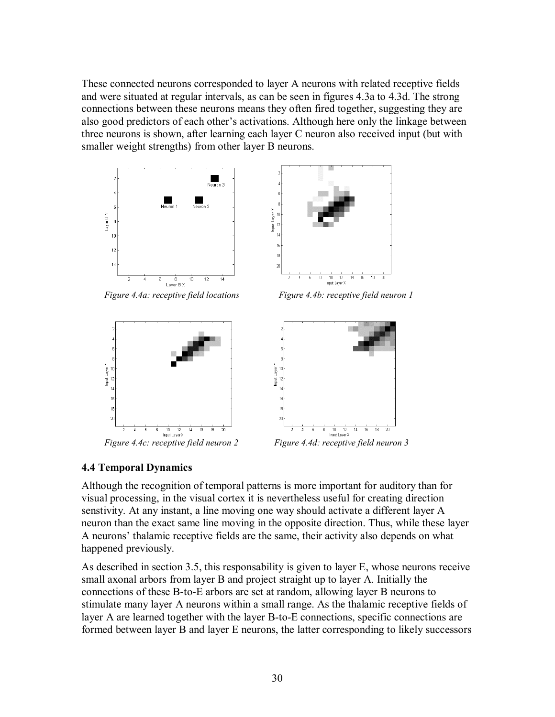These connected neurons corresponded to layer A neurons with related receptive fields and were situated at regular intervals, as can be seen in figures 4.3a to 4.3d. The strong connections between these neurons means they often fired together, suggesting they are also good predictors of each other's activations. Although here only the linkage between three neurons is shown, after learning each layer C neuron also received input (but with smaller weight strengths) from other layer B neurons.





*Figure 4.4a: receptive field locations* Figure 4.4b: receptive field neuron 1







 *Figure 4.4c: receptive field neuron 2 Figure 4.4d: receptive field neuron 3* 

#### **4.4 Temporal Dynamics**

Although the recognition of temporal patterns is more important for auditory than for visual processing, in the visual cortex it is nevertheless useful for creating direction senstivity. At any instant, a line moving one way should activate a different layer A neuron than the exact same line moving in the opposite direction. Thus, while these layer A neurons' thalamic receptive fields are the same, their activity also depends on what happened previously.

As described in section 3.5, this responsability is given to layer E, whose neurons receive small axonal arbors from layer B and project straight up to layer A. Initially the connections of these B-to-E arbors are set at random, allowing layer B neurons to stimulate many layer A neurons within a small range. As the thalamic receptive fields of layer A are learned together with the layer B-to-E connections, specific connections are formed between layer B and layer E neurons, the latter corresponding to likely successors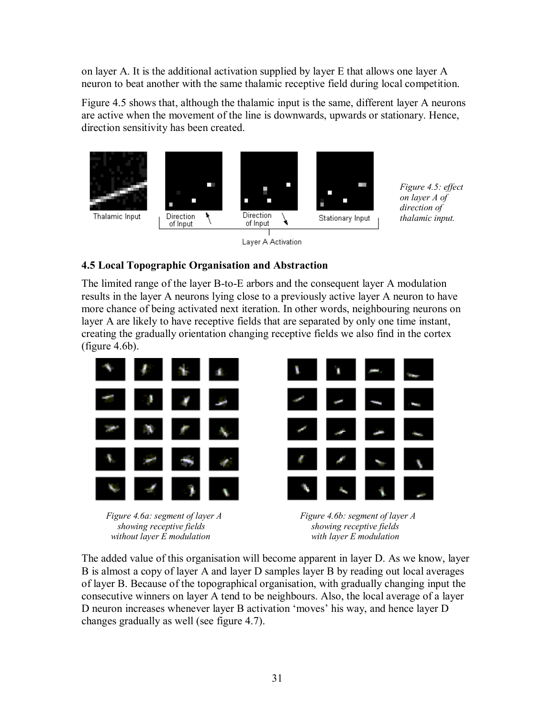on layer A. It is the additional activation supplied by layer E that allows one layer A neuron to beat another with the same thalamic receptive field during local competition.

Figure 4.5 shows that, although the thalamic input is the same, different layer A neurons are active when the movement of the line is downwards, upwards or stationary. Hence, direction sensitivity has been created.



## **4.5 Local Topographic Organisation and Abstraction**

The limited range of the layer B-to-E arbors and the consequent layer A modulation results in the layer A neurons lying close to a previously active layer A neuron to have more chance of being activated next iteration. In other words, neighbouring neurons on layer A are likely to have receptive fields that are separated by only one time instant, creating the gradually orientation changing receptive fields we also find in the cortex (figure 4.6b).



*Figure 4.6a: segment of layer A Figure 4.6b: segment of layer A showing receptive fields showing receptive fields without layer E modulation with layer E modulation* 



The added value of this organisation will become apparent in layer D. As we know, layer B is almost a copy of layer A and layer D samples layer B by reading out local averages of layer B. Because of the topographical organisation, with gradually changing input the consecutive winners on layer A tend to be neighbours. Also, the local average of a layer D neuron increases whenever layer B activation 'moves' his way, and hence layer D changes gradually as well (see figure 4.7).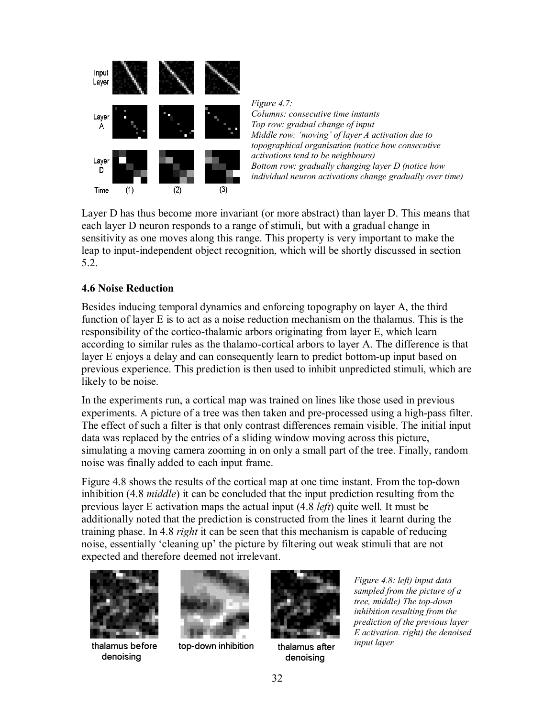

*Figure 4.7: Columns: consecutive time instants Top row: gradual change of input Middle row: 'moving' of layer A activation due to topographical organisation (notice how consecutive activations tend to be neighbours) Bottom row: gradually changing layer D (notice how individual neuron activations change gradually over time)* 

Layer D has thus become more invariant (or more abstract) than layer D. This means that each layer D neuron responds to a range of stimuli, but with a gradual change in sensitivity as one moves along this range. This property is very important to make the leap to input-independent object recognition, which will be shortly discussed in section 5.2.

#### **4.6 Noise Reduction**

Besides inducing temporal dynamics and enforcing topography on layer A, the third function of layer E is to act as a noise reduction mechanism on the thalamus. This is the responsibility of the cortico-thalamic arbors originating from layer E, which learn according to similar rules as the thalamo-cortical arbors to layer A. The difference is that layer E enjoys a delay and can consequently learn to predict bottom-up input based on previous experience. This prediction is then used to inhibit unpredicted stimuli, which are likely to be noise.

In the experiments run, a cortical map was trained on lines like those used in previous experiments. A picture of a tree was then taken and pre-processed using a high-pass filter. The effect of such a filter is that only contrast differences remain visible. The initial input data was replaced by the entries of a sliding window moving across this picture, simulating a moving camera zooming in on only a small part of the tree. Finally, random noise was finally added to each input frame.

Figure 4.8 shows the results of the cortical map at one time instant. From the top-down inhibition (4.8 *middle*) it can be concluded that the input prediction resulting from the previous layer E activation maps the actual input (4.8 *left*) quite well. It must be additionally noted that the prediction is constructed from the lines it learnt during the training phase. In 4.8 *right* it can be seen that this mechanism is capable of reducing noise, essentially 'cleaning up' the picture by filtering out weak stimuli that are not expected and therefore deemed not irrelevant.



thalamus before denoising



top-down inhibition



thalamus after denoising

*Figure 4.8: left) input data sampled from the picture of a tree, middle) The top-down inhibition resulting from the prediction of the previous layer E activation. right) the denoised input layer*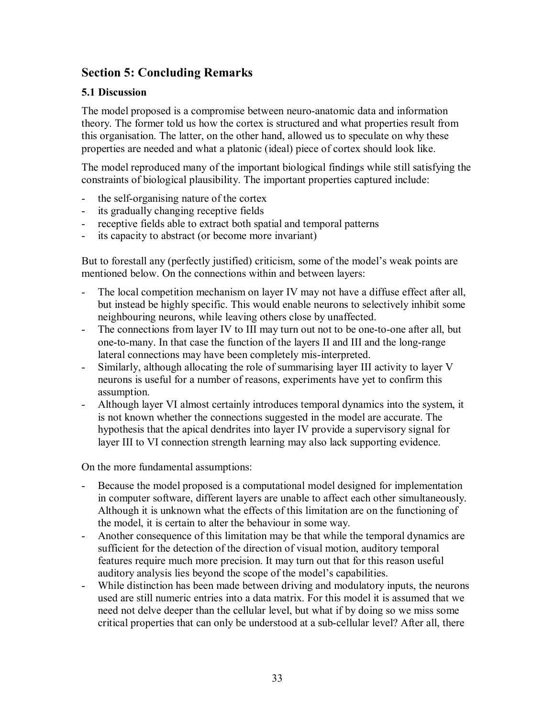# **Section 5: Concluding Remarks**

#### **5.1 Discussion**

The model proposed is a compromise between neuro-anatomic data and information theory. The former told us how the cortex is structured and what properties result from this organisation. The latter, on the other hand, allowed us to speculate on why these properties are needed and what a platonic (ideal) piece of cortex should look like.

The model reproduced many of the important biological findings while still satisfying the constraints of biological plausibility. The important properties captured include:

- the self-organising nature of the cortex
- its gradually changing receptive fields
- receptive fields able to extract both spatial and temporal patterns
- its capacity to abstract (or become more invariant)

But to forestall any (perfectly justified) criticism, some of the model's weak points are mentioned below. On the connections within and between layers:

- The local competition mechanism on layer IV may not have a diffuse effect after all, but instead be highly specific. This would enable neurons to selectively inhibit some neighbouring neurons, while leaving others close by unaffected.
- The connections from layer IV to III may turn out not to be one-to-one after all, but one-to-many. In that case the function of the layers II and III and the long-range lateral connections may have been completely mis-interpreted.
- Similarly, although allocating the role of summarising layer III activity to layer V neurons is useful for a number of reasons, experiments have yet to confirm this assumption.
- Although layer VI almost certainly introduces temporal dynamics into the system, it is not known whether the connections suggested in the model are accurate. The hypothesis that the apical dendrites into layer IV provide a supervisory signal for layer III to VI connection strength learning may also lack supporting evidence.

On the more fundamental assumptions:

- Because the model proposed is a computational model designed for implementation in computer software, different layers are unable to affect each other simultaneously. Although it is unknown what the effects of this limitation are on the functioning of the model, it is certain to alter the behaviour in some way.
- Another consequence of this limitation may be that while the temporal dynamics are sufficient for the detection of the direction of visual motion, auditory temporal features require much more precision. It may turn out that for this reason useful auditory analysis lies beyond the scope of the model's capabilities.
- While distinction has been made between driving and modulatory inputs, the neurons used are still numeric entries into a data matrix. For this model it is assumed that we need not delve deeper than the cellular level, but what if by doing so we miss some critical properties that can only be understood at a sub-cellular level? After all, there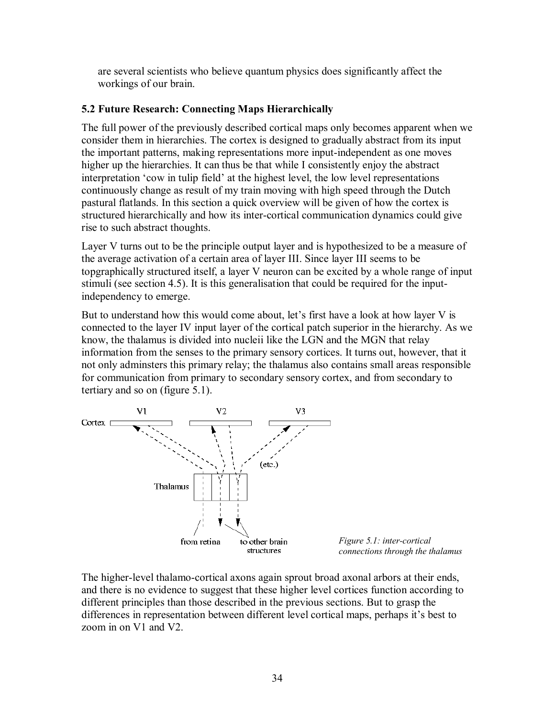are several scientists who believe quantum physics does significantly affect the workings of our brain.

### **5.2 Future Research: Connecting Maps Hierarchically**

The full power of the previously described cortical maps only becomes apparent when we consider them in hierarchies. The cortex is designed to gradually abstract from its input the important patterns, making representations more input-independent as one moves higher up the hierarchies. It can thus be that while I consistently enjoy the abstract interpretation 'cow in tulip field' at the highest level, the low level representations continuously change as result of my train moving with high speed through the Dutch pastural flatlands. In this section a quick overview will be given of how the cortex is structured hierarchically and how its inter-cortical communication dynamics could give rise to such abstract thoughts.

Layer V turns out to be the principle output layer and is hypothesized to be a measure of the average activation of a certain area of layer III. Since layer III seems to be topgraphically structured itself, a layer V neuron can be excited by a whole range of input stimuli (see section 4.5). It is this generalisation that could be required for the inputindependency to emerge.

But to understand how this would come about, let's first have a look at how layer V is connected to the layer IV input layer of the cortical patch superior in the hierarchy. As we know, the thalamus is divided into nucleii like the LGN and the MGN that relay information from the senses to the primary sensory cortices. It turns out, however, that it not only adminsters this primary relay; the thalamus also contains small areas responsible for communication from primary to secondary sensory cortex, and from secondary to tertiary and so on (figure 5.1).



*Figure 5.1: inter-cortical connections through the thalamus* 

The higher-level thalamo-cortical axons again sprout broad axonal arbors at their ends, and there is no evidence to suggest that these higher level cortices function according to different principles than those described in the previous sections. But to grasp the differences in representation between different level cortical maps, perhaps it's best to zoom in on V1 and V2.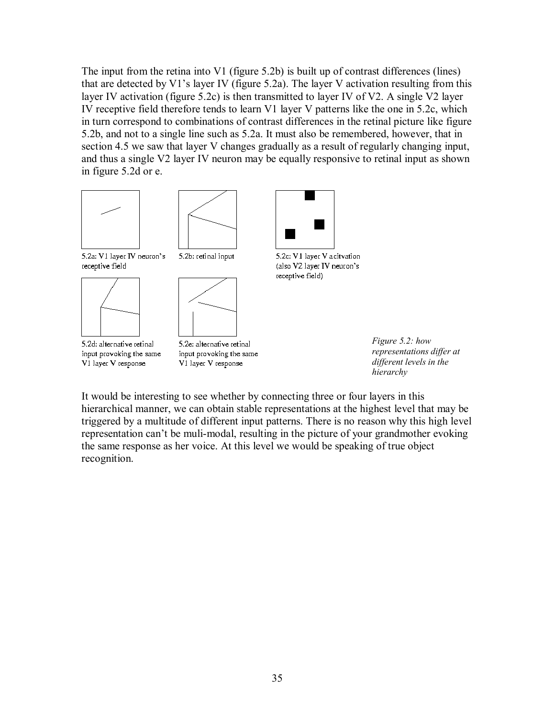The input from the retina into V1 (figure 5.2b) is built up of contrast differences (lines) that are detected by V1's layer IV (figure 5.2a). The layer V activation resulting from this layer IV activation (figure 5.2c) is then transmitted to layer IV of V2. A single V2 layer IV receptive field therefore tends to learn V1 layer V patterns like the one in 5.2c, which in turn correspond to combinations of contrast differences in the retinal picture like figure 5.2b, and not to a single line such as 5.2a. It must also be remembered, however, that in section 4.5 we saw that layer V changes gradually as a result of regularly changing input, and thus a single V2 layer IV neuron may be equally responsive to retinal input as shown in figure 5.2d or e.





5.2a: V1 layer IV neuron's receptive field





5.2d: alternative retinal input provoking the same V1 layer V response

5.2e: alternative retinal input provoking the same V1 layer V response



5.2c: V1 layer V acitvation (also V2 layer IV neuron's receptive field)

*Figure 5.2: how representations differ at different levels in the hierarchy* 

It would be interesting to see whether by connecting three or four layers in this hierarchical manner, we can obtain stable representations at the highest level that may be triggered by a multitude of different input patterns. There is no reason why this high level representation can't be muli-modal, resulting in the picture of your grandmother evoking the same response as her voice. At this level we would be speaking of true object recognition.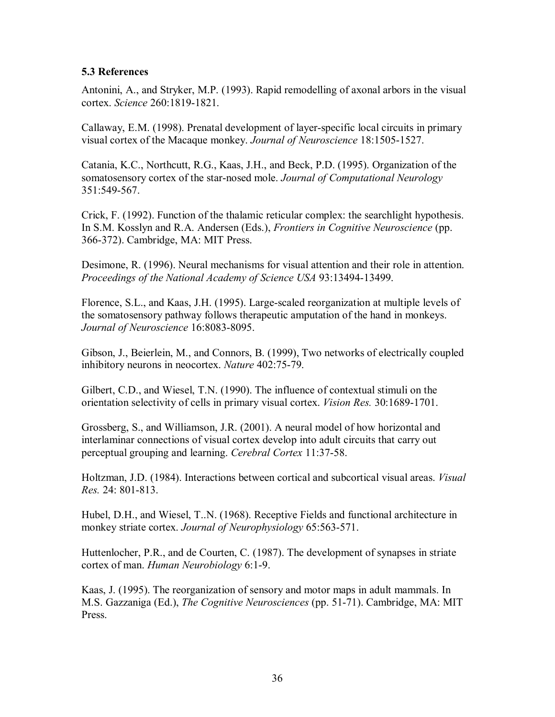#### **5.3 References**

Antonini, A., and Stryker, M.P. (1993). Rapid remodelling of axonal arbors in the visual cortex. *Science* 260:1819-1821.

Callaway, E.M. (1998). Prenatal development of layer-specific local circuits in primary visual cortex of the Macaque monkey. *Journal of Neuroscience* 18:1505-1527.

Catania, K.C., Northcutt, R.G., Kaas, J.H., and Beck, P.D. (1995). Organization of the somatosensory cortex of the star-nosed mole. *Journal of Computational Neurology* 351:549-567.

Crick, F. (1992). Function of the thalamic reticular complex: the searchlight hypothesis. In S.M. Kosslyn and R.A. Andersen (Eds.), *Frontiers in Cognitive Neuroscience* (pp. 366-372). Cambridge, MA: MIT Press.

Desimone, R. (1996). Neural mechanisms for visual attention and their role in attention. *Proceedings of the National Academy of Science USA* 93:13494-13499.

Florence, S.L., and Kaas, J.H. (1995). Large-scaled reorganization at multiple levels of the somatosensory pathway follows therapeutic amputation of the hand in monkeys. *Journal of Neuroscience* 16:8083-8095.

Gibson, J., Beierlein, M., and Connors, B. (1999), Two networks of electrically coupled inhibitory neurons in neocortex. *Nature* 402:75-79.

Gilbert, C.D., and Wiesel, T.N. (1990). The influence of contextual stimuli on the orientation selectivity of cells in primary visual cortex. *Vision Res.* 30:1689-1701.

Grossberg, S., and Williamson, J.R. (2001). A neural model of how horizontal and interlaminar connections of visual cortex develop into adult circuits that carry out perceptual grouping and learning. *Cerebral Cortex* 11:37-58.

Holtzman, J.D. (1984). Interactions between cortical and subcortical visual areas. *Visual Res.* 24: 801-813.

Hubel, D.H., and Wiesel, T..N. (1968). Receptive Fields and functional architecture in monkey striate cortex. *Journal of Neurophysiology* 65:563-571.

Huttenlocher, P.R., and de Courten, C. (1987). The development of synapses in striate cortex of man. *Human Neurobiology* 6:1-9.

Kaas, J. (1995). The reorganization of sensory and motor maps in adult mammals. In M.S. Gazzaniga (Ed.), *The Cognitive Neurosciences* (pp. 51-71). Cambridge, MA: MIT Press.